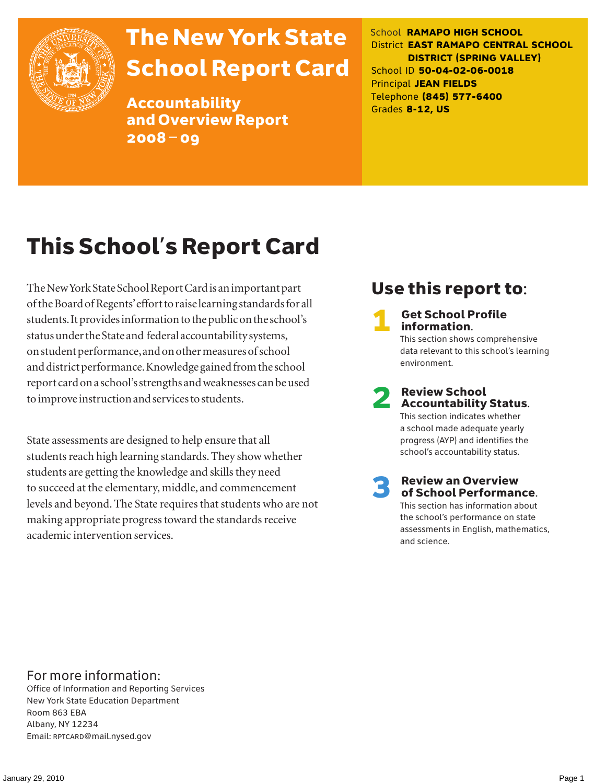

# The New York State School Report Card

Accountability and Overview Report 2008–09

School **RAMAPO HIGH SCHOOL** District **EAST RAMAPO CENTRAL SCHOOL DISTRICT (SPRING VALLEY)** School ID **50-04-02-06-0018** Principal **JEAN FIELDS** Telephone **(845) 577-6400** Grades **8-12, US**

# This School's Report Card

The New York State School Report Card is an important part of the Board of Regents' effort to raise learning standards for all students. It provides information to the public on the school's status under the State and federal accountability systems, on student performance, and on other measures of school and district performance. Knowledge gained from the school report card on a school's strengths and weaknesses can be used to improve instruction and services to students.

State assessments are designed to help ensure that all students reach high learning standards. They show whether students are getting the knowledge and skills they need to succeed at the elementary, middle, and commencement levels and beyond. The State requires that students who are not making appropriate progress toward the standards receive academic intervention services.

## Use this report to:

**Get School Profile** information. This section shows comprehensive data relevant to this school's learning environment.

# 2 Review School Accountability Status.

This section indicates whether a school made adequate yearly progress (AYP) and identifies the school's accountability status.

3 Review an Overview of School Performance. This section has information about

the school's performance on state assessments in English, mathematics, and science.

### For more information:

Office of Information and Reporting Services New York State Education Department Room 863 EBA Albany, NY 12234 Email: RPTCARD@mail.nysed.gov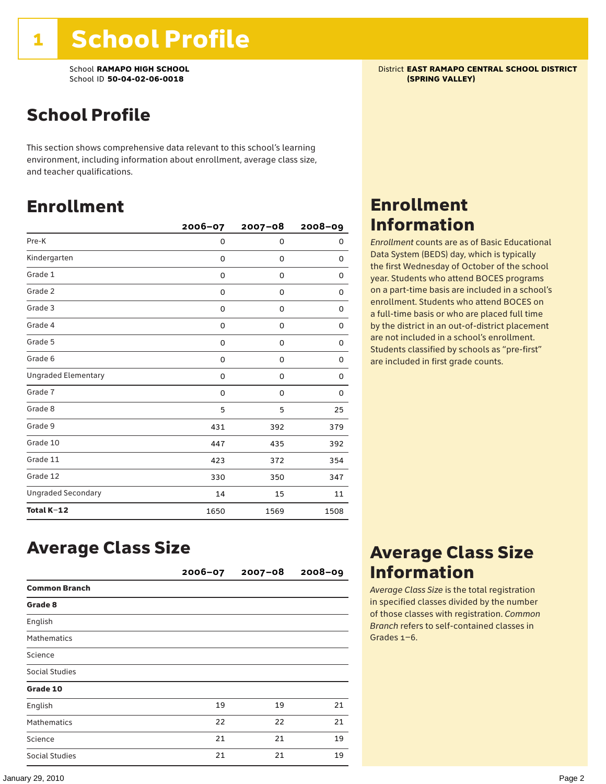School **RAMAPO HIGH SCHOOL**<br>School ID 50-04-02-06-0018<br>**School ID 50-04-02-06-0018** School ID 50-04-02-06-0018

## School Profile

This section shows comprehensive data relevant to this school's learning environment, including information about enrollment, average class size, and teacher qualifications.

## Enrollment

|                            | $2006 - 07$ | $2007 - 08$ | $2008 - 09$ |
|----------------------------|-------------|-------------|-------------|
| Pre-K                      | 0           | 0           | 0           |
| Kindergarten               | 0           | $\mathbf 0$ | 0           |
| Grade 1                    | 0           | 0           | 0           |
| Grade 2                    | 0           | 0           | 0           |
| Grade 3                    | 0           | 0           | 0           |
| Grade 4                    | 0           | 0           | 0           |
| Grade 5                    | 0           | 0           | 0           |
| Grade 6                    | 0           | 0           | 0           |
| <b>Ungraded Elementary</b> | 0           | $\mathbf 0$ | $\Omega$    |
| Grade 7                    | 0           | $\mathbf 0$ | 0           |
| Grade 8                    | 5           | 5           | 25          |
| Grade 9                    | 431         | 392         | 379         |
| Grade 10                   | 447         | 435         | 392         |
| Grade 11                   | 423         | 372         | 354         |
| Grade 12                   | 330         | 350         | 347         |
| <b>Ungraded Secondary</b>  | 14          | 15          | 11          |
| Total K-12                 | 1650        | 1569        | 1508        |

## Enrollment Information

*Enrollment* counts are as of Basic Educational Data System (BEDS) day, which is typically the first Wednesday of October of the school year. Students who attend BOCES programs on a part-time basis are included in a school's enrollment. Students who attend BOCES on a full-time basis or who are placed full time by the district in an out-of-district placement are not included in a school's enrollment. Students classified by schools as "pre-first" are included in first grade counts.

## Average Class Size

|                       | $2006 - 07$ | $2007 - 08$ | 2008-09 |
|-----------------------|-------------|-------------|---------|
| <b>Common Branch</b>  |             |             |         |
| Grade 8               |             |             |         |
| English               |             |             |         |
| <b>Mathematics</b>    |             |             |         |
| Science               |             |             |         |
| <b>Social Studies</b> |             |             |         |
| Grade 10              |             |             |         |
| English               | 19          | 19          | 21      |
| <b>Mathematics</b>    | 22          | 22          | 21      |
| Science               | 21          | 21          | 19      |
| Social Studies        | 21          | 21          | 19      |

## Average Class Size Information

*Average Class Size* is the total registration in specified classes divided by the number of those classes with registration. *Common Branch* refers to self-contained classes in Grades 1–6.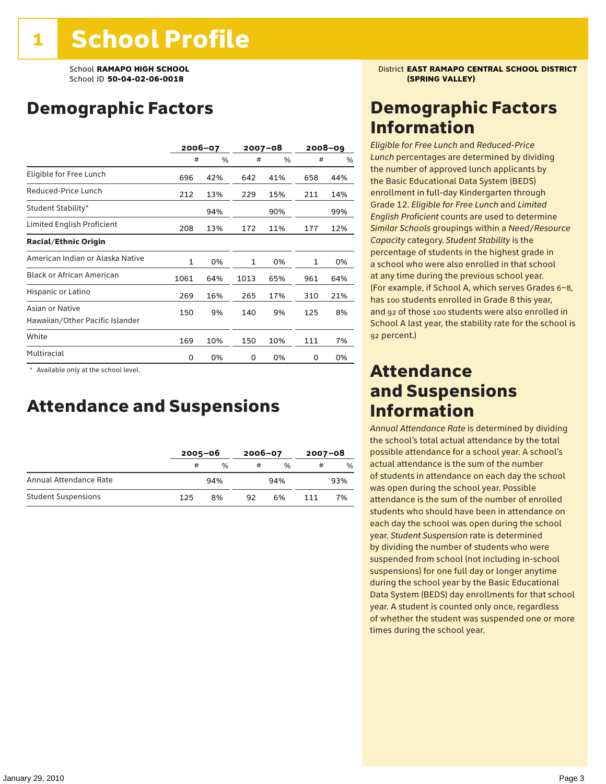## Demographic Factors

|                                                    | 2006-07      |     | 2007-08 |      |     | $2008 - 09$ |
|----------------------------------------------------|--------------|-----|---------|------|-----|-------------|
|                                                    | #            | %   | #       | $\%$ | #   | %           |
| Eligible for Free Lunch                            | 696          | 42% | 642     | 41%  | 658 | 44%         |
| Reduced-Price Lunch                                | 212          | 13% | 229     | 15%  | 211 | 14%         |
| Student Stability*                                 |              | 94% |         | 90%  |     | 99%         |
| Limited English Proficient                         | 208          | 13% | 172     | 11%  | 177 | 12%         |
| <b>Racial/Ethnic Origin</b>                        |              |     |         |      |     |             |
| American Indian or Alaska Native                   | $\mathbf{1}$ | 0%  | 1       | 0%   | 1   | 0%          |
| <b>Black or African American</b>                   | 1061         | 64% | 1013    | 65%  | 961 | 64%         |
| Hispanic or Latino                                 | 269          | 16% | 265     | 17%  | 310 | 21%         |
| Asian or Native<br>Hawaiian/Other Pacific Islander | 150          | 9%  | 140     | 9%   | 125 | 8%          |
| White                                              | 169          | 10% | 150     | 10%  | 111 | 7%          |
| Multiracial                                        | 0            | 0%  | 0       | 0%   | 0   | 0%          |

\* Available only at the school level.

### Attendance and Suspensions

|                            |     | $2005 - 06$ |    | $2006 - 07$   |     | $2007 - 08$ |  |
|----------------------------|-----|-------------|----|---------------|-----|-------------|--|
|                            | #   | $\%$        | #  | $\frac{0}{6}$ | #   | $\%$        |  |
| Annual Attendance Rate     |     | 94%         |    | 94%           |     | 93%         |  |
| <b>Student Suspensions</b> | 125 | 8%          | 92 | 6%            | 111 | 7%          |  |

School **RAMAPO HIGH SCHOOL** District **EAST RAMAPO CENTRAL SCHOOL DISTRICT**

### Demographic Factors Information

*Eligible for Free Lunch* and *Reduced*-*Price Lunch* percentages are determined by dividing the number of approved lunch applicants by the Basic Educational Data System (BEDS) enrollment in full-day Kindergarten through Grade 12. *Eligible for Free Lunch* and *Limited English Proficient* counts are used to determine *Similar Schools* groupings within a *Need*/*Resource Capacity* category. *Student Stability* is the percentage of students in the highest grade in a school who were also enrolled in that school at any time during the previous school year. (For example, if School A, which serves Grades 6–8, has 100 students enrolled in Grade 8 this year, and 92 of those 100 students were also enrolled in School A last year, the stability rate for the school is 92 percent.)

### Attendance and Suspensions Information

*Annual Attendance Rate* is determined by dividing the school's total actual attendance by the total possible attendance for a school year. A school's actual attendance is the sum of the number of students in attendance on each day the school was open during the school year. Possible attendance is the sum of the number of enrolled students who should have been in attendance on each day the school was open during the school year. *Student Suspension* rate is determined by dividing the number of students who were suspended from school (not including in-school suspensions) for one full day or longer anytime during the school year by the Basic Educational Data System (BEDS) day enrollments for that school year. A student is counted only once, regardless of whether the student was suspended one or more times during the school year.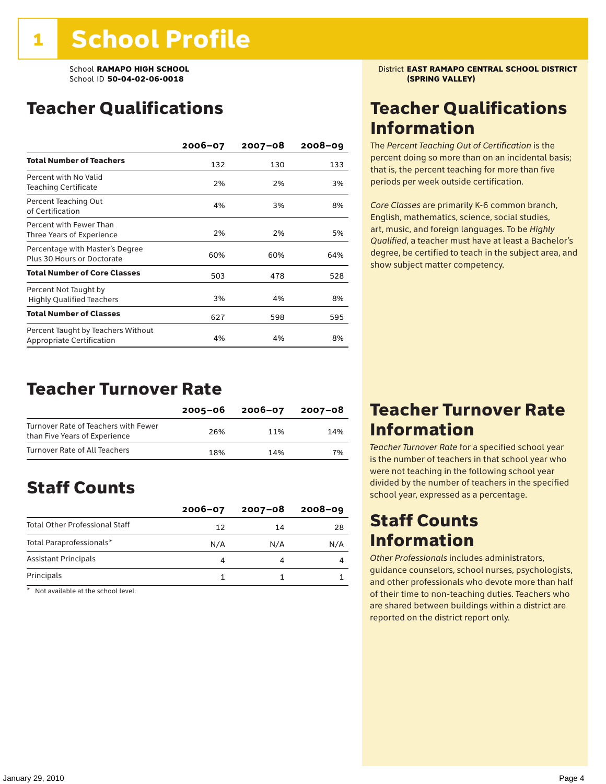School ID 50-04-02-06-0018

## Teacher Qualifications

|                                                                 | $2006 - 07$ | $2007 - 08$ | $2008 - 09$ |
|-----------------------------------------------------------------|-------------|-------------|-------------|
| <b>Total Number of Teachers</b>                                 | 132         | 130         | 133         |
| Percent with No Valid<br><b>Teaching Certificate</b>            | 2%          | 2%          | 3%          |
| Percent Teaching Out<br>of Certification                        | 4%          | 3%          | 8%          |
| Percent with Fewer Than<br>Three Years of Experience            | 2%          | 2%          | 5%          |
| Percentage with Master's Degree<br>Plus 30 Hours or Doctorate   | 60%         | 60%         | 64%         |
| <b>Total Number of Core Classes</b>                             | 503         | 478         | 528         |
| Percent Not Taught by<br><b>Highly Qualified Teachers</b>       | 3%          | 4%          | 8%          |
| <b>Total Number of Classes</b>                                  | 627         | 598         | 595         |
| Percent Taught by Teachers Without<br>Appropriate Certification | 4%          | 4%          | 8%          |

### Teacher Turnover Rate

|                                                                       | 2005-06 | 2006-07 | 2007-08 |
|-----------------------------------------------------------------------|---------|---------|---------|
| Turnover Rate of Teachers with Fewer<br>than Five Years of Experience | 26%     | 11%     | 14%     |
| Turnover Rate of All Teachers                                         | 18%     | 14%     | 7%      |

## Staff Counts

|                                       | $2006 - 07$ | $2007 - 08$ | $2008 - 09$ |
|---------------------------------------|-------------|-------------|-------------|
| <b>Total Other Professional Staff</b> | 12          | 14          | 28          |
| Total Paraprofessionals*              | N/A         | N/A         | N/A         |
| <b>Assistant Principals</b>           |             |             |             |
| Principals                            |             |             |             |

\* Not available at the school level.

School **RAMAPO HIGH SCHOOL**<br>School ID 50-04-02-06-0018<br>**School ID 50-04-02-06-0018** 

## Teacher Qualifications Information

The *Percent Teaching Out of Certification* is the percent doing so more than on an incidental basis; that is, the percent teaching for more than five periods per week outside certification.

*Core Classes* are primarily K-6 common branch, English, mathematics, science, social studies, art, music, and foreign languages. To be *Highly Qualified*, a teacher must have at least a Bachelor's degree, be certified to teach in the subject area, and show subject matter competency.

### Teacher Turnover Rate Information

*Teacher Turnover Rate* for a specified school year is the number of teachers in that school year who were not teaching in the following school year divided by the number of teachers in the specified school year, expressed as a percentage.

### Staff Counts Information

*Other Professionals* includes administrators, guidance counselors, school nurses, psychologists, and other professionals who devote more than half of their time to non-teaching duties. Teachers who are shared between buildings within a district are reported on the district report only.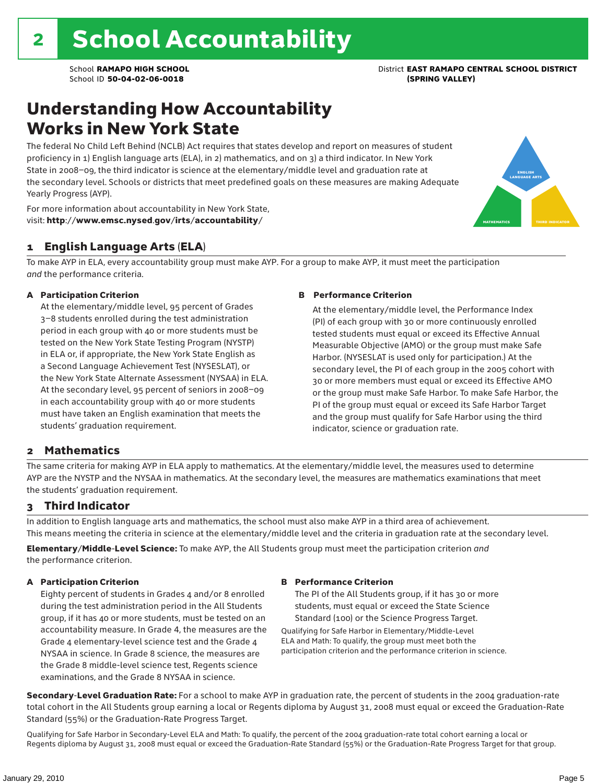## Understanding How Accountability Works in New York State

The federal No Child Left Behind (NCLB) Act requires that states develop and report on measures of student proficiency in 1) English language arts (ELA), in 2) mathematics, and on 3) a third indicator. In New York State in 2008–09, the third indicator is science at the elementary/middle level and graduation rate at the secondary level. Schools or districts that meet predefined goals on these measures are making Adequate Yearly Progress (AYP).



For more information about accountability in New York State, visit: http://www.emsc.nysed.gov/irts/accountability/

#### 1 English Language Arts (ELA)

To make AYP in ELA, every accountability group must make AYP. For a group to make AYP, it must meet the participation *and* the performance criteria.

#### A Participation Criterion

At the elementary/middle level, 95 percent of Grades 3–8 students enrolled during the test administration period in each group with 40 or more students must be tested on the New York State Testing Program (NYSTP) in ELA or, if appropriate, the New York State English as a Second Language Achievement Test (NYSESLAT), or the New York State Alternate Assessment (NYSAA) in ELA. At the secondary level, 95 percent of seniors in 2008–09 in each accountability group with 40 or more students must have taken an English examination that meets the students' graduation requirement.

#### B Performance Criterion

At the elementary/middle level, the Performance Index (PI) of each group with 30 or more continuously enrolled tested students must equal or exceed its Effective Annual Measurable Objective (AMO) or the group must make Safe Harbor. (NYSESLAT is used only for participation.) At the secondary level, the PI of each group in the 2005 cohort with 30 or more members must equal or exceed its Effective AMO or the group must make Safe Harbor. To make Safe Harbor, the PI of the group must equal or exceed its Safe Harbor Target and the group must qualify for Safe Harbor using the third indicator, science or graduation rate.

#### 2 Mathematics

The same criteria for making AYP in ELA apply to mathematics. At the elementary/middle level, the measures used to determine AYP are the NYSTP and the NYSAA in mathematics. At the secondary level, the measures are mathematics examinations that meet the students' graduation requirement.

#### 3 Third Indicator

In addition to English language arts and mathematics, the school must also make AYP in a third area of achievement. This means meeting the criteria in science at the elementary/middle level and the criteria in graduation rate at the secondary level.

Elementary/Middle-Level Science: To make AYP, the All Students group must meet the participation criterion *and* the performance criterion.

#### A Participation Criterion

Eighty percent of students in Grades 4 and/or 8 enrolled during the test administration period in the All Students group, if it has 40 or more students, must be tested on an accountability measure. In Grade 4, the measures are the Grade 4 elementary-level science test and the Grade 4 NYSAA in science. In Grade 8 science, the measures are the Grade 8 middle-level science test, Regents science examinations, and the Grade 8 NYSAA in science.

#### B Performance Criterion

The PI of the All Students group, if it has 30 or more students, must equal or exceed the State Science Standard (100) or the Science Progress Target.

Qualifying for Safe Harbor in Elementary/Middle-Level ELA and Math: To qualify, the group must meet both the participation criterion and the performance criterion in science.

Secondary-Level Graduation Rate: For a school to make AYP in graduation rate, the percent of students in the 2004 graduation-rate total cohort in the All Students group earning a local or Regents diploma by August 31, 2008 must equal or exceed the Graduation-Rate Standard (55%) or the Graduation-Rate Progress Target.

Qualifying for Safe Harbor in Secondary-Level ELA and Math: To qualify, the percent of the 2004 graduation-rate total cohort earning a local or Regents diploma by August 31, 2008 must equal or exceed the Graduation-Rate Standard (55%) or the Graduation-Rate Progress Target for that group.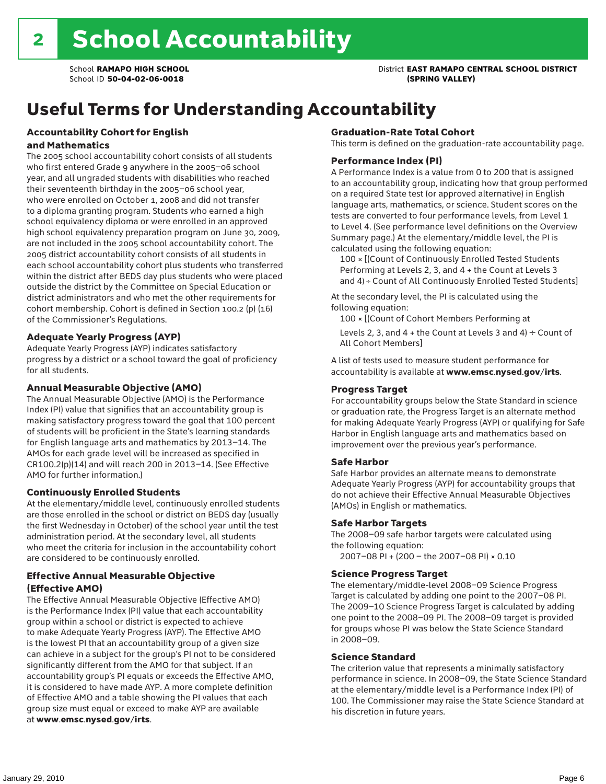## Useful Terms for Understanding Accountability

#### Accountability Cohort for English and Mathematics

The 2005 school accountability cohort consists of all students who first entered Grade 9 anywhere in the 2005–06 school year, and all ungraded students with disabilities who reached their seventeenth birthday in the 2005–06 school year, who were enrolled on October 1, 2008 and did not transfer to a diploma granting program. Students who earned a high school equivalency diploma or were enrolled in an approved high school equivalency preparation program on June 30, 2009, are not included in the 2005 school accountability cohort. The 2005 district accountability cohort consists of all students in each school accountability cohort plus students who transferred within the district after BEDS day plus students who were placed outside the district by the Committee on Special Education or district administrators and who met the other requirements for cohort membership. Cohort is defined in Section 100.2 (p) (16) of the Commissioner's Regulations.

#### Adequate Yearly Progress (AYP)

Adequate Yearly Progress (AYP) indicates satisfactory progress by a district or a school toward the goal of proficiency for all students.

#### Annual Measurable Objective (AMO)

The Annual Measurable Objective (AMO) is the Performance Index (PI) value that signifies that an accountability group is making satisfactory progress toward the goal that 100 percent of students will be proficient in the State's learning standards for English language arts and mathematics by 2013–14. The AMOs for each grade level will be increased as specified in CR100.2(p)(14) and will reach 200 in 2013–14. (See Effective AMO for further information.)

#### Continuously Enrolled Students

At the elementary/middle level, continuously enrolled students are those enrolled in the school or district on BEDS day (usually the first Wednesday in October) of the school year until the test administration period. At the secondary level, all students who meet the criteria for inclusion in the accountability cohort are considered to be continuously enrolled.

#### Effective Annual Measurable Objective (Effective AMO)

The Effective Annual Measurable Objective (Effective AMO) is the Performance Index (PI) value that each accountability group within a school or district is expected to achieve to make Adequate Yearly Progress (AYP). The Effective AMO is the lowest PI that an accountability group of a given size can achieve in a subject for the group's PI not to be considered significantly different from the AMO for that subject. If an accountability group's PI equals or exceeds the Effective AMO, it is considered to have made AYP. A more complete definition of Effective AMO and a table showing the PI values that each group size must equal or exceed to make AYP are available at www.emsc.nysed.gov/irts.

#### Graduation-Rate Total Cohort

This term is defined on the graduation-rate accountability page.

#### Performance Index (PI)

A Performance Index is a value from 0 to 200 that is assigned to an accountability group, indicating how that group performed on a required State test (or approved alternative) in English language arts, mathematics, or science. Student scores on the tests are converted to four performance levels, from Level 1 to Level 4. (See performance level definitions on the Overview Summary page.) At the elementary/middle level, the PI is calculated using the following equation:

100 × [(Count of Continuously Enrolled Tested Students Performing at Levels 2, 3, and 4 + the Count at Levels 3 and 4) ÷ Count of All Continuously Enrolled Tested Students]

At the secondary level, the PI is calculated using the following equation:

100 × [(Count of Cohort Members Performing at

Levels 2, 3, and 4 + the Count at Levels 3 and 4)  $\div$  Count of All Cohort Members]

A list of tests used to measure student performance for accountability is available at www.emsc.nysed.gov/irts.

#### Progress Target

For accountability groups below the State Standard in science or graduation rate, the Progress Target is an alternate method for making Adequate Yearly Progress (AYP) or qualifying for Safe Harbor in English language arts and mathematics based on improvement over the previous year's performance.

#### Safe Harbor

Safe Harbor provides an alternate means to demonstrate Adequate Yearly Progress (AYP) for accountability groups that do not achieve their Effective Annual Measurable Objectives (AMOs) in English or mathematics.

#### Safe Harbor Targets

The 2008–09 safe harbor targets were calculated using the following equation:

2007–08 PI + (200 – the 2007–08 PI) × 0.10

#### Science Progress Target

The elementary/middle-level 2008–09 Science Progress Target is calculated by adding one point to the 2007–08 PI. The 2009–10 Science Progress Target is calculated by adding one point to the 2008–09 PI. The 2008–09 target is provided for groups whose PI was below the State Science Standard in 2008–09.

#### Science Standard

The criterion value that represents a minimally satisfactory performance in science. In 2008–09, the State Science Standard at the elementary/middle level is a Performance Index (PI) of 100. The Commissioner may raise the State Science Standard at his discretion in future years.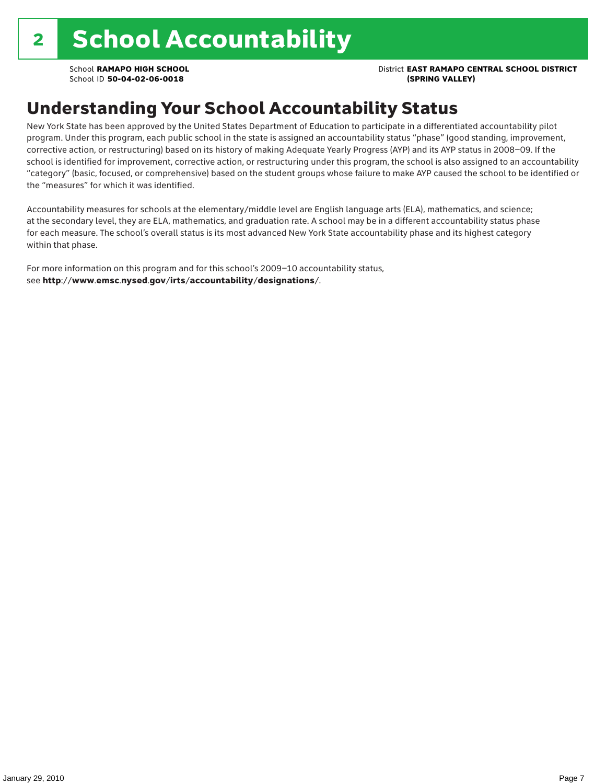School **RAMAPO HIGH SCHOOL** District **EAST RAMAPO CENTRAL SCHOOL DISTRICT**

## Understanding Your School Accountability Status

New York State has been approved by the United States Department of Education to participate in a differentiated accountability pilot program. Under this program, each public school in the state is assigned an accountability status "phase" (good standing, improvement, corrective action, or restructuring) based on its history of making Adequate Yearly Progress (AYP) and its AYP status in 2008–09. If the school is identified for improvement, corrective action, or restructuring under this program, the school is also assigned to an accountability "category" (basic, focused, or comprehensive) based on the student groups whose failure to make AYP caused the school to be identified or the "measures" for which it was identified.

Accountability measures for schools at the elementary/middle level are English language arts (ELA), mathematics, and science; at the secondary level, they are ELA, mathematics, and graduation rate. A school may be in a different accountability status phase for each measure. The school's overall status is its most advanced New York State accountability phase and its highest category within that phase.

For more information on this program and for this school's 2009–10 accountability status, see http://www.emsc.nysed.gov/irts/accountability/designations/.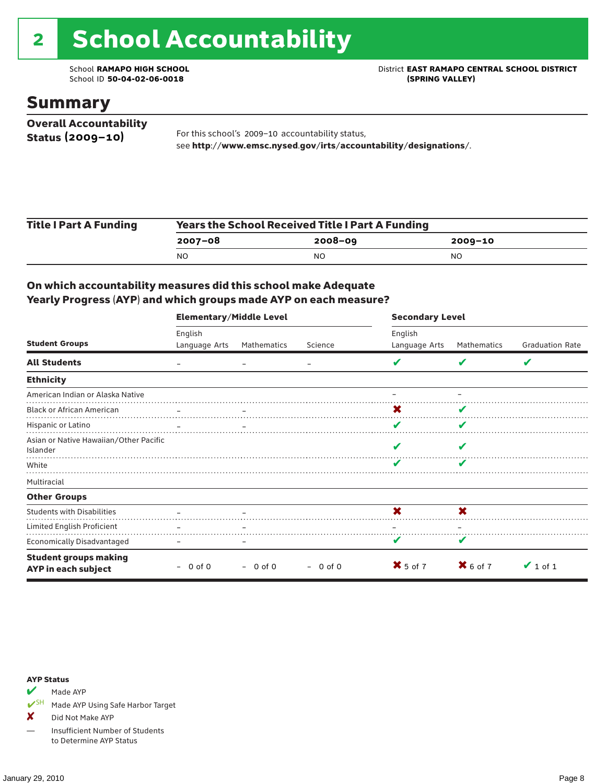# 2 School Accountability

School ID 50-04-02-06-0018

School **RAMAPO HIGH SCHOOL**<br>School ID 50-04-02-06-0018<br>(SPRING VALLEY)

### Summary

| <b>Overall Accountability</b> |                                                                  |
|-------------------------------|------------------------------------------------------------------|
| Status $(2009 - 10)$          | For this school's 2009-10 accountability status,                 |
|                               | see http://www.emsc.nysed.gov/irts/accountability/designations/. |

| <b>Title I Part A Funding</b> | <b>Years the School Received Title I Part A Funding</b> |             |             |  |  |  |
|-------------------------------|---------------------------------------------------------|-------------|-------------|--|--|--|
|                               | 2007-08                                                 | $2008 - 09$ | $2009 - 10$ |  |  |  |
|                               | N <sub>O</sub>                                          | NO          | NO.         |  |  |  |

#### On which accountability measures did this school make Adequate Yearly Progress (AYP) and which groups made AYP on each measure?

|                                                     | <b>Elementary/Middle Level</b> |             |            | <b>Secondary Level</b> |                     |                        |  |
|-----------------------------------------------------|--------------------------------|-------------|------------|------------------------|---------------------|------------------------|--|
|                                                     | English                        |             |            | English                |                     |                        |  |
| <b>Student Groups</b>                               | Language Arts                  | Mathematics | Science    | Language Arts          | Mathematics         | <b>Graduation Rate</b> |  |
| <b>All Students</b>                                 |                                |             |            |                        |                     | V                      |  |
| <b>Ethnicity</b>                                    |                                |             |            |                        |                     |                        |  |
| American Indian or Alaska Native                    |                                |             |            |                        |                     |                        |  |
| <b>Black or African American</b>                    |                                |             |            | X                      |                     |                        |  |
| Hispanic or Latino                                  |                                |             |            | V                      | v                   |                        |  |
| Asian or Native Hawaiian/Other Pacific<br>Islander  |                                |             |            |                        |                     |                        |  |
| White                                               |                                |             |            |                        |                     |                        |  |
| Multiracial                                         |                                |             |            |                        |                     |                        |  |
| <b>Other Groups</b>                                 |                                |             |            |                        |                     |                        |  |
| <b>Students with Disabilities</b>                   |                                |             |            | X                      | X                   |                        |  |
| Limited English Proficient                          | $\equiv$                       |             |            |                        |                     |                        |  |
| <b>Economically Disadvantaged</b>                   |                                |             |            |                        | v                   |                        |  |
| <b>Student groups making</b><br>AYP in each subject | $-0$ of 0                      | $-0$ of 0   | $-$ 0 of 0 | $X$ 5 of 7             | $\mathbf{X}$ 6 of 7 | $\vee$ 1 of 1          |  |

#### AYP Status

Made AYP

✔SH Made AYP Using Safe Harbor Target

X Did Not Make AYP

— Insufficient Number of Students to Determine AYP Status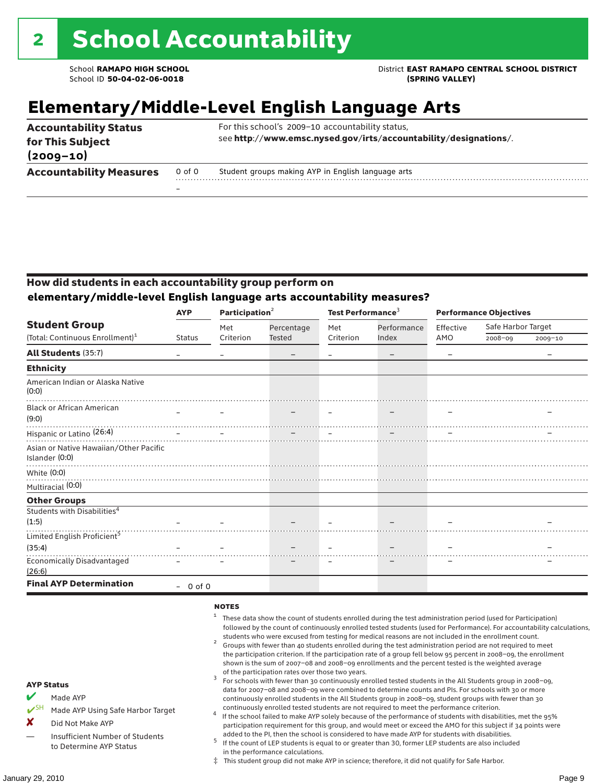School **RAMAPO HIGH SCHOOL** District **EAST RAMAPO CENTRAL SCHOOL DISTRICT**

## **Elementary/Middle-Level English Language Arts**

| <b>Accountability Status</b><br>for This Subject<br>$(2009 - 10)$ |        | For this school's 2009-10 accountability status,<br>see http://www.emsc.nysed.gov/irts/accountability/designations/. |
|-------------------------------------------------------------------|--------|----------------------------------------------------------------------------------------------------------------------|
| <b>Accountability Measures</b>                                    | 0 of 0 | Student groups making AYP in English language arts                                                                   |
|                                                                   | -      |                                                                                                                      |

#### How did students in each accountability group perform on **elementary/middle-level English language arts accountability measures?**

|                                                          | <b>AYP</b>    | Participation <sup>2</sup> |                          | Test Performance <sup>3</sup> |                          | <b>Performance Objectives</b> |                    |             |
|----------------------------------------------------------|---------------|----------------------------|--------------------------|-------------------------------|--------------------------|-------------------------------|--------------------|-------------|
| <b>Student Group</b>                                     |               | Met                        | Percentage               | Met                           | Performance              | Effective                     | Safe Harbor Target |             |
| (Total: Continuous Enrollment) <sup>1</sup>              | <b>Status</b> | Criterion                  | <b>Tested</b>            | Criterion                     | Index                    | AMO                           | $2008 - 09$        | $2009 - 10$ |
| <b>All Students (35:7)</b>                               |               |                            | $\overline{\phantom{m}}$ |                               | $\overline{\phantom{m}}$ |                               |                    |             |
| <b>Ethnicity</b>                                         |               |                            |                          |                               |                          |                               |                    |             |
| American Indian or Alaska Native<br>(0:0)                |               |                            |                          |                               |                          |                               |                    |             |
| <b>Black or African American</b><br>(9:0)                |               |                            |                          |                               |                          |                               |                    |             |
| Hispanic or Latino <sup>(26:4)</sup>                     |               |                            |                          |                               |                          |                               |                    |             |
| Asian or Native Hawaiian/Other Pacific<br>Islander (0:0) |               |                            |                          |                               |                          |                               |                    |             |
| White $(0:0)$                                            |               |                            |                          |                               |                          |                               |                    |             |
| Multiracial (0:0)                                        |               |                            |                          |                               |                          |                               |                    |             |
| <b>Other Groups</b>                                      |               |                            |                          |                               |                          |                               |                    |             |
| Students with Disabilities <sup>4</sup><br>(1:5)         |               |                            |                          |                               |                          |                               |                    |             |
| Limited English Proficient <sup>5</sup>                  |               |                            |                          |                               |                          |                               |                    |             |
| (35:4)                                                   |               |                            |                          |                               |                          |                               |                    |             |
| <b>Economically Disadvantaged</b><br>(26:6)              |               |                            |                          |                               |                          |                               |                    |             |
| <b>Final AYP Determination</b>                           | $-0$ of 0     |                            |                          |                               |                          |                               |                    |             |

#### **NOTES**

- <sup>1</sup> These data show the count of students enrolled during the test administration period (used for Participation) followed by the count of continuously enrolled tested students (used for Performance). For accountability calculations,
- students who were excused from testing for medical reasons are not included in the enrollment count. <sup>2</sup> Groups with fewer than 40 students enrolled during the test administration period are not required to meet the participation criterion. If the participation rate of a group fell below 95 percent in 2008–09, the enrollment shown is the sum of 2007–08 and 2008–09 enrollments and the percent tested is the weighted average
- of the participation rates over those two years.<br><sup>3</sup> For schools with fewer than 30 continuously enrolled tested students in the All Students group in 2008–09, data for 2007–08 and 2008–09 were combined to determine counts and PIs. For schools with 30 or more continuously enrolled students in the All Students group in 2008–09, student groups with fewer than 30
- continuously enrolled tested students are not required to meet the performance criterion. <sup>4</sup> If the school failed to make AYP solely because of the performance of students with disabilities, met the 95% participation requirement for this group, and would meet or exceed the AMO for this subject if 34 points were added to the PI, then the school is considered to have made AYP for students with disabilities.
- $5$  If the count of LEP students is equal to or greater than 30, former LEP students are also included in the performance calculations.
- ‡ This student group did not make AYP in science; therefore, it did not qualify for Safe Harbor.

AYP Status  $M$  Made AYP

X Did Not Make AYP

Made AYP Using Safe Harbor Target

Insufficient Number of Students to Determine AYP Status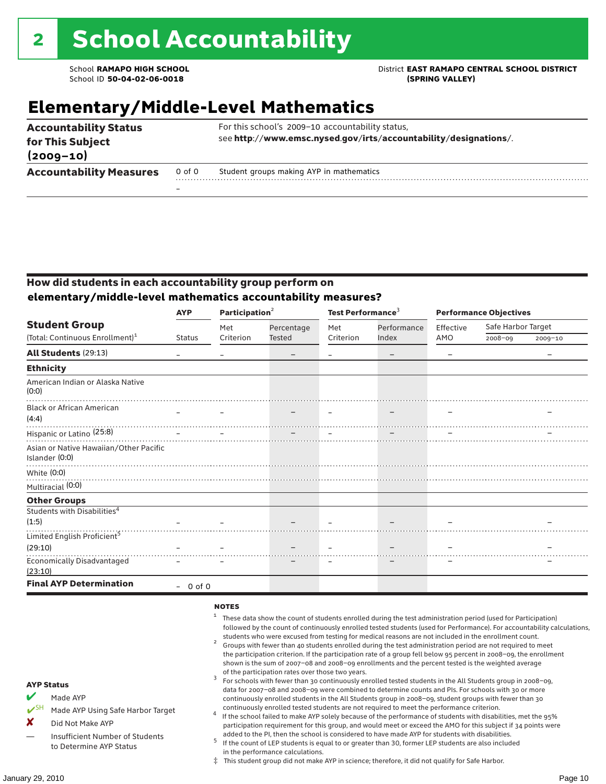### School **RAMAPO HIGH SCHOOL** District **EAST RAMAPO CENTRAL SCHOOL DISTRICT**

## **Elementary/Middle-Level Mathematics**

| <b>Accountability Status</b><br>for This Subject<br>$(2009 - 10)$ |                          | For this school's 2009-10 accountability status,<br>see http://www.emsc.nysed.gov/irts/accountability/designations/. |
|-------------------------------------------------------------------|--------------------------|----------------------------------------------------------------------------------------------------------------------|
| <b>Accountability Measures</b>                                    | 0 of 0                   | Student groups making AYP in mathematics                                                                             |
|                                                                   | $\overline{\phantom{0}}$ |                                                                                                                      |

#### How did students in each accountability group perform on **elementary/middle-level mathematics accountability measures?**

|                                                          | <b>AYP</b>    | Participation <sup>2</sup> |                 | Test Performance <sup>3</sup> |                          | <b>Performance Objectives</b> |                    |         |
|----------------------------------------------------------|---------------|----------------------------|-----------------|-------------------------------|--------------------------|-------------------------------|--------------------|---------|
| <b>Student Group</b>                                     |               | Met                        | Percentage      | Met                           | Performance              | Effective                     | Safe Harbor Target |         |
| (Total: Continuous Enrollment) <sup>1</sup>              | <b>Status</b> | Criterion                  | <b>Tested</b>   | Criterion                     | Index                    | AMO                           | 2008-09            | 2009-10 |
| All Students (29:13)                                     |               |                            | $\qquad \qquad$ |                               | $\overline{\phantom{m}}$ |                               |                    |         |
| <b>Ethnicity</b>                                         |               |                            |                 |                               |                          |                               |                    |         |
| American Indian or Alaska Native<br>(0:0)                |               |                            |                 |                               |                          |                               |                    |         |
| <b>Black or African American</b><br>(4:4)                |               |                            |                 |                               |                          |                               |                    |         |
| Hispanic or Latino <sup>(25:8)</sup>                     |               |                            |                 |                               |                          |                               |                    |         |
| Asian or Native Hawaiian/Other Pacific<br>Islander (0:0) |               |                            |                 |                               |                          |                               |                    |         |
| White $(0:0)$                                            |               |                            |                 |                               |                          |                               |                    |         |
| Multiracial (0:0)                                        |               |                            |                 |                               |                          |                               |                    |         |
| <b>Other Groups</b>                                      |               |                            |                 |                               |                          |                               |                    |         |
| Students with Disabilities <sup>4</sup><br>(1:5)         |               |                            |                 |                               |                          |                               |                    |         |
| Limited English Proficient <sup>5</sup>                  |               |                            |                 |                               |                          |                               |                    |         |
| (29:10)                                                  |               |                            |                 |                               |                          |                               |                    |         |
| <b>Economically Disadvantaged</b><br>(23:10)             |               |                            |                 |                               |                          |                               |                    |         |
| <b>Final AYP Determination</b>                           | $-0$ of 0     |                            |                 |                               |                          |                               |                    |         |

#### **NOTES**

- <sup>1</sup> These data show the count of students enrolled during the test administration period (used for Participation) followed by the count of continuously enrolled tested students (used for Performance). For accountability calculations,
- students who were excused from testing for medical reasons are not included in the enrollment count. <sup>2</sup> Groups with fewer than 40 students enrolled during the test administration period are not required to meet the participation criterion. If the participation rate of a group fell below 95 percent in 2008–09, the enrollment shown is the sum of 2007–08 and 2008–09 enrollments and the percent tested is the weighted average
- of the participation rates over those two years.<br><sup>3</sup> For schools with fewer than 30 continuously enrolled tested students in the All Students group in 2008–09, data for 2007–08 and 2008–09 were combined to determine counts and PIs. For schools with 30 or more continuously enrolled students in the All Students group in 2008–09, student groups with fewer than 30
- continuously enrolled tested students are not required to meet the performance criterion. <sup>4</sup> If the school failed to make AYP solely because of the performance of students with disabilities, met the 95% participation requirement for this group, and would meet or exceed the AMO for this subject if 34 points were added to the PI, then the school is considered to have made AYP for students with disabilities.
- $5$  If the count of LEP students is equal to or greater than 30, former LEP students are also included in the performance calculations.
- ‡ This student group did not make AYP in science; therefore, it did not qualify for Safe Harbor.

AYP Status Made AYP

X Did Not Make AYP

Made AYP Using Safe Harbor Target

Insufficient Number of Students to Determine AYP Status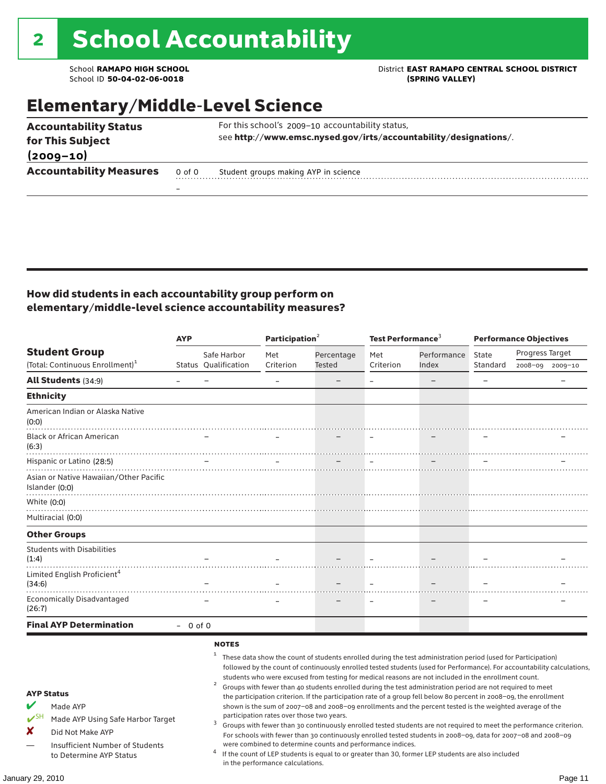School ID 50-04-02-06-0018

### School **RAMAPO HIGH SCHOOL**<br>School ID 50-04-02-06-0018<br>GPRING VALLEY)

## Elementary/Middle-Level Science

| <b>Accountability Status</b><br>for This Subject |        | For this school's 2009-10 accountability status,<br>see http://www.emsc.nysed.gov/irts/accountability/designations/. |
|--------------------------------------------------|--------|----------------------------------------------------------------------------------------------------------------------|
| $(2009 - 10)$                                    |        |                                                                                                                      |
| <b>Accountability Measures</b>                   | 0 of 0 | Student groups making AYP in science                                                                                 |
|                                                  |        |                                                                                                                      |

#### How did students in each accountability group perform on elementary/middle-level science accountability measures?

|                                                                                                                                                                              | <b>AYP</b>        |                                     |                                                                               | Participation <sup>2</sup>                                 |           | Test Performance <sup>3</sup>                                                                                                                                                                                                                                                                                                                                                                                                                                                                                                                                                                                                                                                             |                          | <b>Performance Objectives</b>                                                                                                                                                                                                                                                                                                                                   |  |  |
|------------------------------------------------------------------------------------------------------------------------------------------------------------------------------|-------------------|-------------------------------------|-------------------------------------------------------------------------------|------------------------------------------------------------|-----------|-------------------------------------------------------------------------------------------------------------------------------------------------------------------------------------------------------------------------------------------------------------------------------------------------------------------------------------------------------------------------------------------------------------------------------------------------------------------------------------------------------------------------------------------------------------------------------------------------------------------------------------------------------------------------------------------|--------------------------|-----------------------------------------------------------------------------------------------------------------------------------------------------------------------------------------------------------------------------------------------------------------------------------------------------------------------------------------------------------------|--|--|
| <b>Student Group</b>                                                                                                                                                         |                   | Safe Harbor                         | Met                                                                           | Percentage                                                 | Met       | Performance                                                                                                                                                                                                                                                                                                                                                                                                                                                                                                                                                                                                                                                                               | State                    | Progress Target                                                                                                                                                                                                                                                                                                                                                 |  |  |
| (Total: Continuous Enrollment) <sup>1</sup>                                                                                                                                  |                   | Status Oualification                | Criterion                                                                     | Tested                                                     | Criterion | Index                                                                                                                                                                                                                                                                                                                                                                                                                                                                                                                                                                                                                                                                                     | Standard                 | 2008-09 2009-10                                                                                                                                                                                                                                                                                                                                                 |  |  |
| <b>All Students (34:9)</b>                                                                                                                                                   | $\qquad \qquad -$ | $\overline{\phantom{m}}$            | $\equiv$                                                                      |                                                            | $\equiv$  |                                                                                                                                                                                                                                                                                                                                                                                                                                                                                                                                                                                                                                                                                           | $\overline{\phantom{m}}$ |                                                                                                                                                                                                                                                                                                                                                                 |  |  |
| <b>Ethnicity</b>                                                                                                                                                             |                   |                                     |                                                                               |                                                            |           |                                                                                                                                                                                                                                                                                                                                                                                                                                                                                                                                                                                                                                                                                           |                          |                                                                                                                                                                                                                                                                                                                                                                 |  |  |
| American Indian or Alaska Native<br>(0:0)                                                                                                                                    |                   |                                     |                                                                               |                                                            |           |                                                                                                                                                                                                                                                                                                                                                                                                                                                                                                                                                                                                                                                                                           |                          |                                                                                                                                                                                                                                                                                                                                                                 |  |  |
| <b>Black or African American</b><br>(6:3)                                                                                                                                    |                   |                                     |                                                                               |                                                            |           |                                                                                                                                                                                                                                                                                                                                                                                                                                                                                                                                                                                                                                                                                           |                          |                                                                                                                                                                                                                                                                                                                                                                 |  |  |
| Hispanic or Latino (28:5)                                                                                                                                                    |                   |                                     |                                                                               |                                                            | $\equiv$  |                                                                                                                                                                                                                                                                                                                                                                                                                                                                                                                                                                                                                                                                                           |                          |                                                                                                                                                                                                                                                                                                                                                                 |  |  |
| Asian or Native Hawaiian/Other Pacific<br>Islander (0:0)                                                                                                                     |                   |                                     |                                                                               |                                                            |           |                                                                                                                                                                                                                                                                                                                                                                                                                                                                                                                                                                                                                                                                                           |                          |                                                                                                                                                                                                                                                                                                                                                                 |  |  |
| White (0:0)                                                                                                                                                                  |                   |                                     |                                                                               |                                                            |           |                                                                                                                                                                                                                                                                                                                                                                                                                                                                                                                                                                                                                                                                                           |                          |                                                                                                                                                                                                                                                                                                                                                                 |  |  |
| Multiracial (0:0)                                                                                                                                                            |                   |                                     |                                                                               |                                                            |           |                                                                                                                                                                                                                                                                                                                                                                                                                                                                                                                                                                                                                                                                                           |                          |                                                                                                                                                                                                                                                                                                                                                                 |  |  |
| <b>Other Groups</b>                                                                                                                                                          |                   |                                     |                                                                               |                                                            |           |                                                                                                                                                                                                                                                                                                                                                                                                                                                                                                                                                                                                                                                                                           |                          |                                                                                                                                                                                                                                                                                                                                                                 |  |  |
| <b>Students with Disabilities</b><br>(1:4)                                                                                                                                   |                   |                                     |                                                                               |                                                            |           |                                                                                                                                                                                                                                                                                                                                                                                                                                                                                                                                                                                                                                                                                           |                          |                                                                                                                                                                                                                                                                                                                                                                 |  |  |
| Limited English Proficient <sup>4</sup><br>(34:6)                                                                                                                            |                   |                                     |                                                                               |                                                            |           |                                                                                                                                                                                                                                                                                                                                                                                                                                                                                                                                                                                                                                                                                           |                          |                                                                                                                                                                                                                                                                                                                                                                 |  |  |
| <b>Economically Disadvantaged</b><br>(26:7)                                                                                                                                  |                   |                                     |                                                                               |                                                            |           |                                                                                                                                                                                                                                                                                                                                                                                                                                                                                                                                                                                                                                                                                           |                          |                                                                                                                                                                                                                                                                                                                                                                 |  |  |
| <b>Final AYP Determination</b>                                                                                                                                               | $-0$ of 0         |                                     |                                                                               |                                                            |           |                                                                                                                                                                                                                                                                                                                                                                                                                                                                                                                                                                                                                                                                                           |                          |                                                                                                                                                                                                                                                                                                                                                                 |  |  |
| <b>AYP Status</b><br>Made AYP<br>$V^{\text{SH}}$<br>Made AYP Using Safe Harbor Target<br>X<br>Did Not Make AYP<br>Insufficient Number of Students<br>to Determine AYP Status |                   | <b>NOTES</b><br>$\overline{a}$<br>3 | participation rates over those two years.<br>in the performance calculations. | were combined to determine counts and performance indices. |           | <sup>1</sup> These data show the count of students enrolled during the test administration period (used for Participation)<br>students who were excused from testing for medical reasons are not included in the enrollment count.<br>Groups with fewer than 40 students enrolled during the test administration period are not required to meet<br>the participation criterion. If the participation rate of a group fell below 80 percent in 2008-09, the enrollment<br>shown is the sum of 2007-08 and 2008-09 enrollments and the percent tested is the weighted average of the<br>If the count of LEP students is equal to or greater than 30, former LEP students are also included |                          | followed by the count of continuously enrolled tested students (used for Performance). For accountability calculations,<br>Groups with fewer than 30 continuously enrolled tested students are not required to meet the performance criterion.<br>For schools with fewer than 30 continuously enrolled tested students in 2008-09, data for 2007-08 and 2008-09 |  |  |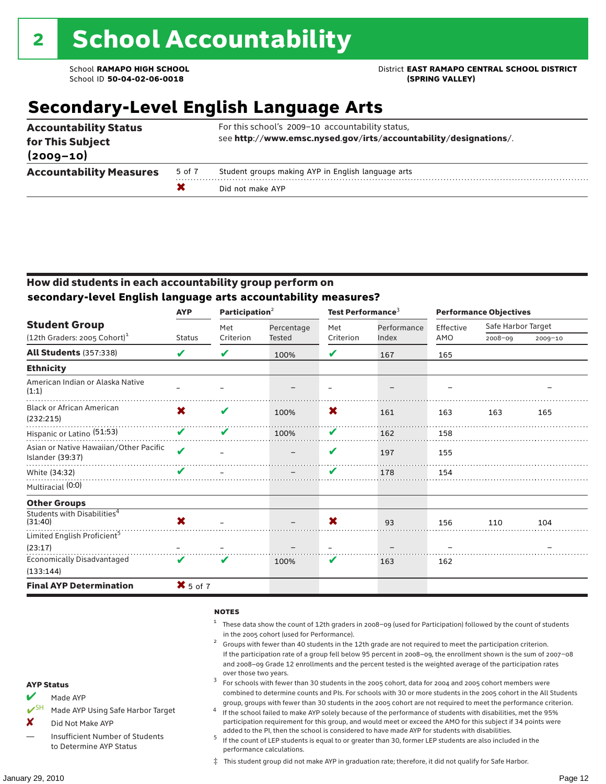School **RAMAPO HIGH SCHOOL** District **EAST RAMAPO CENTRAL SCHOOL DISTRICT**

## **Secondary-Level English Language Arts**

| <b>Accountability Status</b><br>for This Subject<br>$(2009 - 10)$ |        | For this school's 2009-10 accountability status,<br>see http://www.emsc.nysed.gov/irts/accountability/designations/. |
|-------------------------------------------------------------------|--------|----------------------------------------------------------------------------------------------------------------------|
| <b>Accountability Measures</b>                                    | 5 of 7 | Student groups making AYP in English language arts                                                                   |
|                                                                   |        | Did not make AYP                                                                                                     |

#### How did students in each accountability group perform on **secondary-level English language arts accountability measures?**

|                                                            | <b>AYP</b>              | Participation $2$ |            | Test Performance <sup>3</sup> |             | <b>Performance Objectives</b> |                    |         |
|------------------------------------------------------------|-------------------------|-------------------|------------|-------------------------------|-------------|-------------------------------|--------------------|---------|
| <b>Student Group</b>                                       |                         | Met               | Percentage | Met                           | Performance | Effective                     | Safe Harbor Target |         |
| (12th Graders: 2005 Cohort) <sup>1</sup>                   | <b>Status</b>           | Criterion         | Tested     | Criterion                     | Index       | AMO                           | 2008-09            | 2009-10 |
| All Students (357:338)                                     | V                       | V                 | 100%       | V                             | 167         | 165                           |                    |         |
| <b>Ethnicity</b>                                           |                         |                   |            |                               |             |                               |                    |         |
| American Indian or Alaska Native<br>(1:1)                  |                         |                   |            |                               |             |                               |                    |         |
| <b>Black or African American</b><br>(232:215)              | X                       | V                 | 100%       | X                             | 161         | 163                           | 163                | 165     |
| Hispanic or Latino <sup>(51:53)</sup>                      | V                       | ✔                 | 100%       | V                             | 162         | 158                           |                    |         |
| Asian or Native Hawaiian/Other Pacific<br>Islander (39:37) | $\overline{\mathbf{v}}$ |                   |            | V                             | 197         | 155                           |                    |         |
| White (34:32)                                              |                         |                   |            | V                             | 178         | 154                           |                    |         |
| Multiracial (0:0)                                          |                         |                   |            |                               |             |                               |                    |         |
| <b>Other Groups</b>                                        |                         |                   |            |                               |             |                               |                    |         |
| Students with Disabilities <sup>4</sup><br>(31:40)         | X                       |                   |            | X                             | 93          | 156                           | 110                | 104     |
| Limited English Proficient <sup>5</sup>                    |                         |                   |            |                               |             |                               |                    |         |
| (23:17)                                                    |                         |                   |            |                               |             |                               |                    |         |
| <b>Economically Disadvantaged</b>                          | ✔                       | V                 | 100%       | V                             | 163         | 162                           |                    |         |
| (133:144)                                                  |                         |                   |            |                               |             |                               |                    |         |
| <b>Final AYP Determination</b>                             | $X$ 5 of 7              |                   |            |                               |             |                               |                    |         |

#### **NOTES**

- <sup>1</sup> These data show the count of 12th graders in 2008–09 (used for Participation) followed by the count of students in the 2005 cohort (used for Performance).<br>Groups with fewer than 40 students in the 12th grade are not required to meet the participation criterion.
- If the participation rate of a group fell below 95 percent in 2008–09, the enrollment shown is the sum of 2007–08 and 2008–09 Grade 12 enrollments and the percent tested is the weighted average of the participation rates
- over those two years.  $^3$  For schools with fewer than 30 students in the 2005 cohort, data for 2004 and 2005 cohort members were combined to determine counts and PIs. For schools with 30 or more students in the 2005 cohort in the All Students
- group, groups with fewer than 30 students in the 2005 cohort are not required to meet the performance criterion. <sup>4</sup> If the school failed to make AYP solely because of the performance of students with disabilities, met the 95% participation requirement for this group, and would meet or exceed the AMO for this subject if 34 points were
- added to the PI, then the school is considered to have made AYP for students with disabilities.<br> $^5$  If the count of LEP students is equal to or greater than 30, former LEP students are also included in the performance calculations.
- ‡ This student group did not make AYP in graduation rate; therefore, it did not qualify for Safe Harbor.

#### AYP Status

- Made AYP
	- Made AYP Using Safe Harbor Target
- X Did Not Make AYP
- Insufficient Number of Students to Determine AYP Status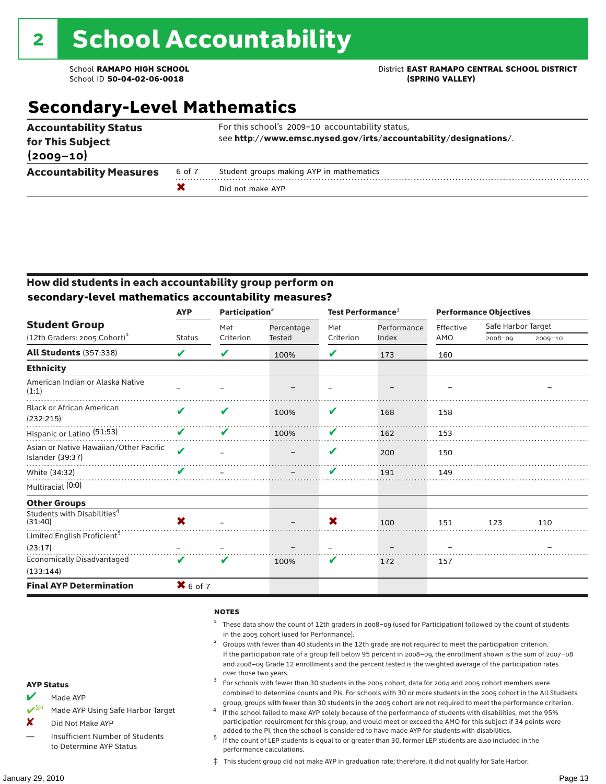### School **RAMAPO HIGH SCHOOL** District **EAST RAMAPO CENTRAL SCHOOL DISTRICT**

## **Secondary-Level Mathematics**

| <b>Accountability Status</b><br>for This Subject<br>$(2009 - 10)$ |        | For this school's 2009-10 accountability status,<br>see http://www.emsc.nysed.gov/irts/accountability/designations/. |
|-------------------------------------------------------------------|--------|----------------------------------------------------------------------------------------------------------------------|
| <b>Accountability Measures</b>                                    | 6 of 7 | Student groups making AYP in mathematics                                                                             |
|                                                                   |        | Did not make AYP                                                                                                     |

#### How did students in each accountability group perform on **secondary-level mathematics accountability measures?**

|                                                            | <b>AYP</b>              | Participation <sup>2</sup> |            | Test Performance <sup>3</sup> |             | <b>Performance Objectives</b> |                    |             |
|------------------------------------------------------------|-------------------------|----------------------------|------------|-------------------------------|-------------|-------------------------------|--------------------|-------------|
| <b>Student Group</b>                                       |                         | Met                        | Percentage | Met                           | Performance | Effective                     | Safe Harbor Target |             |
| $(12th$ Graders: 2005 Cohort) <sup>1</sup>                 | <b>Status</b>           | Criterion                  | Tested     | Criterion                     | Index       | AMO                           | 2008-09            | $2009 - 10$ |
| <b>All Students (357:338)</b>                              | V                       | V                          | 100%       | V                             | 173         | 160                           |                    |             |
| <b>Ethnicity</b>                                           |                         |                            |            |                               |             |                               |                    |             |
| American Indian or Alaska Native<br>(1:1)                  |                         |                            |            |                               |             |                               |                    |             |
| <b>Black or African American</b><br>(232:215)              | V                       | ✔                          | 100%       | V                             | 168         | 158                           |                    |             |
| Hispanic or Latino (51:53)                                 | V                       | V                          | 100%       | V                             | 162         | 153                           |                    |             |
| Asian or Native Hawaiian/Other Pacific<br>Islander (39:37) | $\overline{\mathbf{v}}$ |                            |            | V                             | 200         | 150                           |                    |             |
| White (34:32)                                              |                         |                            |            | V                             | 191         | 149                           |                    |             |
| Multiracial (0:0)                                          |                         |                            |            |                               |             |                               |                    |             |
| <b>Other Groups</b>                                        |                         |                            |            |                               |             |                               |                    |             |
| Students with Disabilities <sup>4</sup><br>(31:40)         | X                       |                            |            | X                             | 100         | 151                           | 123                | 110         |
| Limited English Proficient <sup>5</sup>                    |                         |                            |            |                               |             |                               |                    |             |
| (23:17)                                                    |                         |                            |            |                               |             |                               |                    |             |
| <b>Economically Disadvantaged</b>                          | ✔                       | V                          | 100%       | V                             | 172         | 157                           |                    |             |
| (133:144)                                                  |                         |                            |            |                               |             |                               |                    |             |
| <b>Final AYP Determination</b>                             | $X$ 6 of 7              |                            |            |                               |             |                               |                    |             |

#### **NOTES**

- <sup>1</sup> These data show the count of 12th graders in 2008–09 (used for Participation) followed by the count of students in the 2005 cohort (used for Performance).<br>Groups with fewer than 40 students in the 12th grade are not required to meet the participation criterion.
- If the participation rate of a group fell below 95 percent in 2008–09, the enrollment shown is the sum of 2007–08 and 2008–09 Grade 12 enrollments and the percent tested is the weighted average of the participation rates
- over those two years.  $^3$  For schools with fewer than 30 students in the 2005 cohort, data for 2004 and 2005 cohort members were combined to determine counts and PIs. For schools with 30 or more students in the 2005 cohort in the All Students
- group, groups with fewer than 30 students in the 2005 cohort are not required to meet the performance criterion. <sup>4</sup> If the school failed to make AYP solely because of the performance of students with disabilities, met the 95% participation requirement for this group, and would meet or exceed the AMO for this subject if 34 points were
- added to the PI, then the school is considered to have made AYP for students with disabilities.<br><sup>5</sup> If the count of LEP students is equal to or greater than 30, former LEP students are also included in the performance calculations.
- ‡ This student group did not make AYP in graduation rate; therefore, it did not qualify for Safe Harbor.

#### AYP Status

- Made AYP
- ✔SH Made AYP Using Safe Harbor Target
- X Did Not Make AYP
- Insufficient Number of Students to Determine AYP Status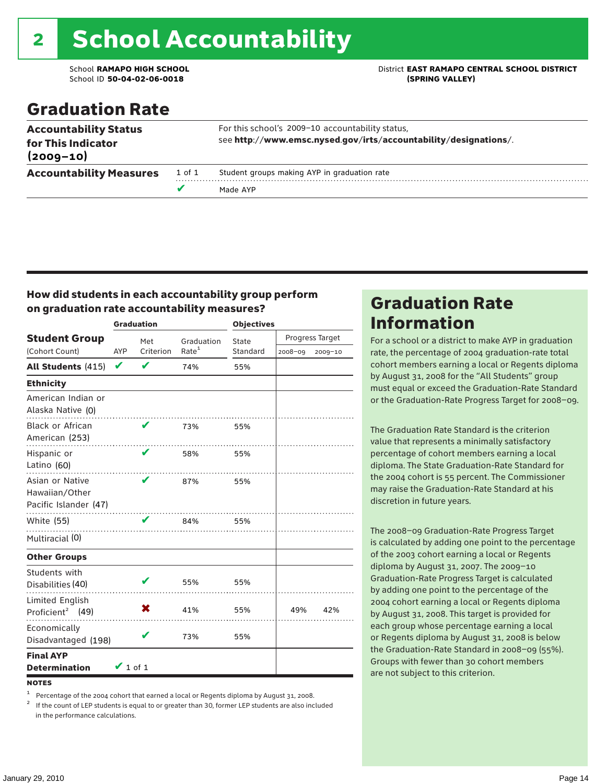# 2 School Accountability

School ID **50-04-02-06-0018 (SPRING VALLEY)**

School **RAMAPO HIGH SCHOOL** District **EAST RAMAPO CENTRAL SCHOOL DISTRICT**

## Graduation Rate

| <b>Accountability Status</b><br>for This Indicator |        | For this school's 2009-10 accountability status,<br>see http://www.emsc.nysed.gov/irts/accountability/designations/. |
|----------------------------------------------------|--------|----------------------------------------------------------------------------------------------------------------------|
| $(2009 - 10)$                                      |        |                                                                                                                      |
| <b>Accountability Measures</b>                     | 1 of 1 | Student groups making AYP in graduation rate                                                                         |
|                                                    | v      | Made AYP                                                                                                             |

#### How did students in each accountability group perform on graduation rate accountability measures?

|                                                            |               | <b>Graduation</b> |                   | <b>Objectives</b> |                 |         |  |
|------------------------------------------------------------|---------------|-------------------|-------------------|-------------------|-----------------|---------|--|
| <b>Student Group</b>                                       |               | Met               | Graduation        | State             | Progress Target |         |  |
| (Cohort Count)                                             | <b>AYP</b>    | Criterion         | Rate <sup>1</sup> | Standard          | $2008 - 09$     | 2009-10 |  |
| <b>All Students (415)</b>                                  | V             | $\mathbf v$       | 74%               | 55%               |                 |         |  |
| <b>Ethnicity</b>                                           |               |                   |                   |                   |                 |         |  |
| American Indian or<br>Alaska Native (0)                    |               |                   |                   |                   |                 |         |  |
| Black or African<br>American (253)                         |               | v                 | 73%               | 55%               |                 |         |  |
| Hispanic or<br>Latino (60)                                 |               | ✔                 | 58%               | 55%               |                 |         |  |
| Asian or Native<br>Hawaiian/Other<br>Pacific Islander (47) |               | V                 | 87%               | 55%               |                 |         |  |
| <b>White (55)</b>                                          |               | V                 | 84%               | 55%               |                 |         |  |
| Multiracial (0)                                            |               |                   |                   |                   |                 |         |  |
| <b>Other Groups</b>                                        |               |                   |                   |                   |                 |         |  |
| Students with<br>Disabilities (40)                         |               |                   | 55%               | 55%               |                 |         |  |
| Limited English<br>Proficient <sup>2</sup> (49)            |               | X                 | 41%               | 55%               | 49%             | 42%     |  |
| Economically<br>Disadvantaged (198)                        |               | V                 | 73%               | 55%               |                 |         |  |
| <b>Final AYP</b><br><b>Determination</b>                   | $\vee$ 1 of 1 |                   |                   |                   |                 |         |  |

**NOTES** 

<sup>1</sup> Percentage of the 2004 cohort that earned a local or Regents diploma by August 31, 2008.<br><sup>2</sup> If the count of LEP students is equal to or greater than 30, former LEP students are also included in the performance calculations.

### Graduation Rate Information

For a school or a district to make AYP in graduation rate, the percentage of 2004 graduation-rate total cohort members earning a local or Regents diploma by August 31, 2008 for the "All Students" group must equal or exceed the Graduation-Rate Standard or the Graduation-Rate Progress Target for 2008–09.

The Graduation Rate Standard is the criterion value that represents a minimally satisfactory percentage of cohort members earning a local diploma. The State Graduation-Rate Standard for the 2004 cohort is 55 percent. The Commissioner may raise the Graduation-Rate Standard at his discretion in future years.

The 2008–09 Graduation-Rate Progress Target is calculated by adding one point to the percentage of the 2003 cohort earning a local or Regents diploma by August 31, 2007. The 2009–10 Graduation-Rate Progress Target is calculated by adding one point to the percentage of the 2004 cohort earning a local or Regents diploma by August 31, 2008. This target is provided for each group whose percentage earning a local or Regents diploma by August 31, 2008 is below the Graduation-Rate Standard in 2008–09 (55%). Groups with fewer than 30 cohort members are not subject to this criterion.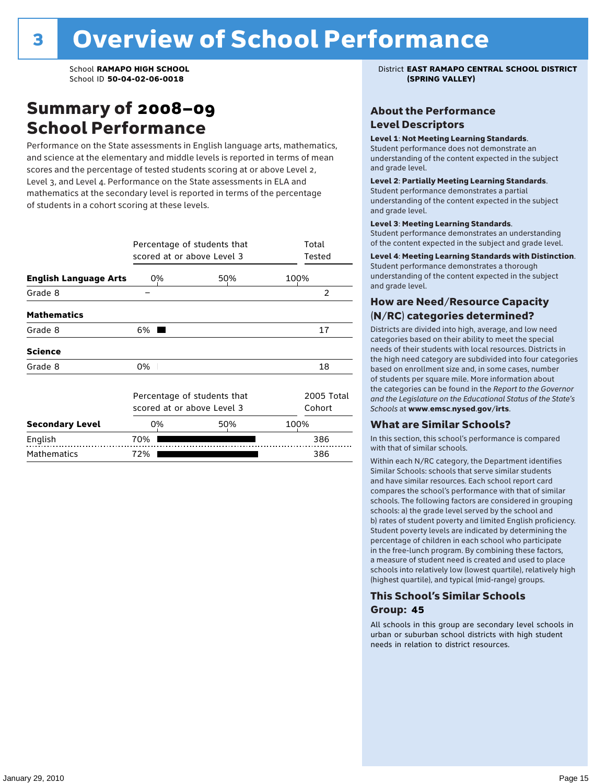### Summary of 2008–09 School Performance

Performance on the State assessments in English language arts, mathematics, and science at the elementary and middle levels is reported in terms of mean scores and the percentage of tested students scoring at or above Level 2, Level 3, and Level 4. Performance on the State assessments in ELA and mathematics at the secondary level is reported in terms of the percentage of students in a cohort scoring at these levels.

|                              | Percentage of students that<br>scored at or above Level 3 | Total<br>Tested |      |  |  |
|------------------------------|-----------------------------------------------------------|-----------------|------|--|--|
| <b>English Language Arts</b> | 0%                                                        | 50%             | 100% |  |  |
| Grade 8                      |                                                           |                 | 2    |  |  |
| <b>Mathematics</b>           |                                                           |                 |      |  |  |
| Grade 8                      | 6%                                                        |                 | 17   |  |  |
| <b>Science</b>               |                                                           |                 |      |  |  |
| Grade 8                      | 0%                                                        |                 | 18   |  |  |
|                              | Percentage of students that<br>scored at or above Level 3 |                 |      |  |  |
| <b>Secondary Level</b>       | 0%                                                        | 50%             | 100% |  |  |
| English                      | 70%                                                       |                 | 386  |  |  |
| <b>Mathematics</b>           | 72%                                                       |                 | 386  |  |  |

School **RAMAPO HIGH SCHOOL** District **EAST RAMAPO CENTRAL SCHOOL DISTRICT**

#### About the Performance Level Descriptors

#### Level 1: Not Meeting Learning Standards.

Student performance does not demonstrate an understanding of the content expected in the subject and grade level.

#### Level 2: Partially Meeting Learning Standards.

Student performance demonstrates a partial understanding of the content expected in the subject and grade level.

#### Level 3: Meeting Learning Standards.

Student performance demonstrates an understanding of the content expected in the subject and grade level.

#### Level 4: Meeting Learning Standards with Distinction.

Student performance demonstrates a thorough understanding of the content expected in the subject and grade level.

#### How are Need/Resource Capacity (N/RC) categories determined?

Districts are divided into high, average, and low need categories based on their ability to meet the special needs of their students with local resources. Districts in the high need category are subdivided into four categories based on enrollment size and, in some cases, number of students per square mile. More information about the categories can be found in the *Report to the Governor and the Legislature on the Educational Status of the State's Schools* at www.emsc.nysed.gov/irts.

#### What are Similar Schools?

In this section, this school's performance is compared with that of similar schools.

Within each N/RC category, the Department identifies Similar Schools: schools that serve similar students and have similar resources. Each school report card compares the school's performance with that of similar schools. The following factors are considered in grouping schools: a) the grade level served by the school and b) rates of student poverty and limited English proficiency. Student poverty levels are indicated by determining the percentage of children in each school who participate in the free-lunch program. By combining these factors, a measure of student need is created and used to place schools into relatively low (lowest quartile), relatively high (highest quartile), and typical (mid-range) groups.

#### This School's Similar Schools Group: **45**

All schools in this group are secondary level schools in urban or suburban school districts with high student needs in relation to district resources.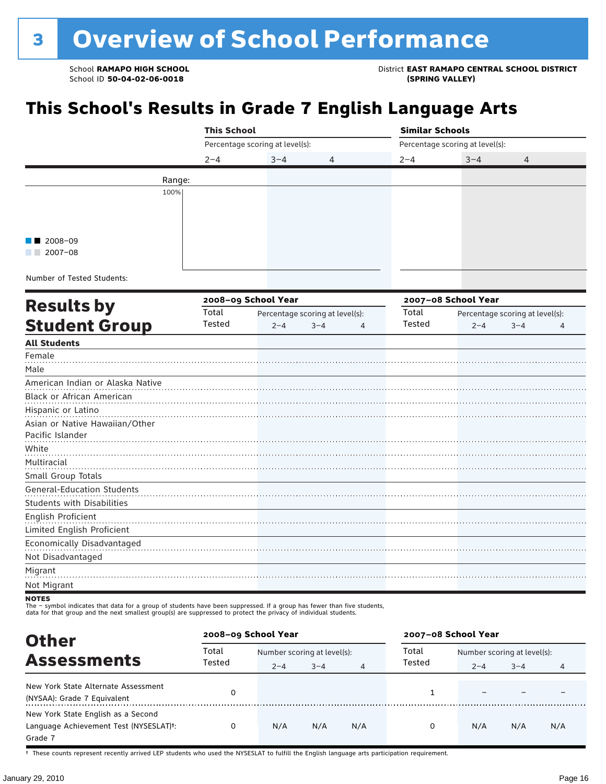School **RAMAPO HIGH SCHOOL** District **EAST RAMAPO CENTRAL SCHOOL DISTRICT**

## **This School's Results in Grade 7 English Language Arts**

|                                   | <b>This School</b> |                                 |                                 |         | <b>Similar Schools</b>          |         |   |  |
|-----------------------------------|--------------------|---------------------------------|---------------------------------|---------|---------------------------------|---------|---|--|
|                                   |                    | Percentage scoring at level(s): |                                 |         | Percentage scoring at level(s): |         |   |  |
|                                   | $2 - 4$            | $3 - 4$                         | 4                               | $2 - 4$ | $3 - 4$                         | 4       |   |  |
|                                   | Range:             |                                 |                                 |         |                                 |         |   |  |
|                                   | 100%               |                                 |                                 |         |                                 |         |   |  |
|                                   |                    |                                 |                                 |         |                                 |         |   |  |
|                                   |                    |                                 |                                 |         |                                 |         |   |  |
|                                   |                    |                                 |                                 |         |                                 |         |   |  |
| 2008-09                           |                    |                                 |                                 |         |                                 |         |   |  |
| $2007 - 08$                       |                    |                                 |                                 |         |                                 |         |   |  |
| Number of Tested Students:        |                    |                                 |                                 |         |                                 |         |   |  |
|                                   |                    |                                 |                                 |         |                                 |         |   |  |
| <b>Results by</b>                 |                    | 2008-09 School Year             |                                 |         | 2007-08 School Year             |         |   |  |
|                                   | Total              |                                 | Percentage scoring at level(s): | Total   | Percentage scoring at level(s): |         |   |  |
| <b>Student Group</b>              | Tested             | $2 - 4$                         | $3 - 4$<br>4                    | Tested  | $2 - 4$                         | $3 - 4$ | 4 |  |
| <b>All Students</b>               |                    |                                 |                                 |         |                                 |         |   |  |
| Female                            |                    |                                 |                                 |         |                                 |         |   |  |
| Male                              |                    |                                 |                                 |         |                                 |         |   |  |
| American Indian or Alaska Native  |                    |                                 |                                 |         |                                 |         |   |  |
| Black or African American         |                    |                                 |                                 |         |                                 |         |   |  |
| Hispanic or Latino                |                    |                                 |                                 |         |                                 |         |   |  |
| Asian or Native Hawaiian/Other    |                    |                                 |                                 |         |                                 |         |   |  |
| Pacific Islander                  |                    |                                 |                                 |         |                                 |         |   |  |
| White                             |                    |                                 |                                 |         |                                 |         |   |  |
| Multiracial                       |                    |                                 |                                 |         |                                 |         |   |  |
| Small Group Totals                |                    |                                 |                                 |         |                                 |         |   |  |
| <b>General-Education Students</b> |                    |                                 |                                 |         |                                 |         |   |  |
| <b>Students with Disabilities</b> |                    |                                 |                                 |         |                                 |         |   |  |
| English Proficient                |                    |                                 |                                 |         |                                 |         |   |  |
| Limited English Proficient        |                    |                                 |                                 |         |                                 |         |   |  |
| Economically Disadvantaged        |                    |                                 |                                 |         |                                 |         |   |  |
| Not Disadvantaged                 |                    |                                 |                                 |         |                                 |         |   |  |
| Migrant                           |                    |                                 |                                 |         |                                 |         |   |  |
| Not Migrant                       |                    |                                 |                                 |         |                                 |         |   |  |
| NATES                             |                    |                                 |                                 |         |                                 |         |   |  |

NOTES<br>The – symbol indicates that data for a group of students have been suppressed. If a group has fewer than five students,<br>data for that group and the next smallest group(s) are suppressed to protect the privacy of indi

| <b>Other</b>                                                                                         | 2008-09 School Year |         |                             |     | 2007-08 School Year |                             |         |     |
|------------------------------------------------------------------------------------------------------|---------------------|---------|-----------------------------|-----|---------------------|-----------------------------|---------|-----|
| <b>Assessments</b><br>New York State Alternate Assessment<br>(NYSAA): Grade 7 Equivalent             | Total               |         | Number scoring at level(s): |     | Total               | Number scoring at level(s): |         |     |
|                                                                                                      | Tested              | $2 - 4$ | $3 - 4$                     | 4   | Tested              | $2 - 4$                     | $3 - 4$ | 4   |
|                                                                                                      |                     |         |                             |     |                     |                             |         |     |
| New York State English as a Second<br>Language Achievement Test (NYSESLAT) <sup>+</sup> :<br>Grade 7 |                     | N/A     | N/A                         | N/A | 0                   | N/A                         | N/A     | N/A |

† These counts represent recently arrived LEP students who used the NYSESLAT to fulfill the English language arts participation requirement.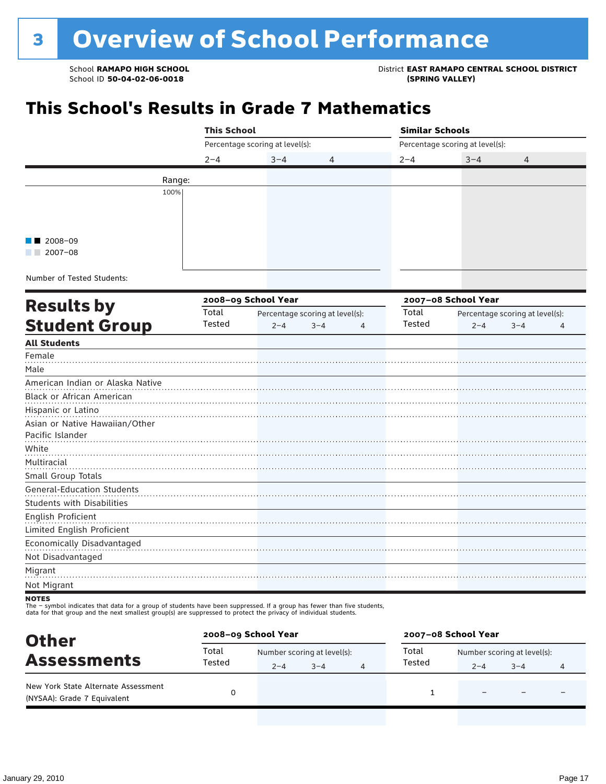School **RAMAPO HIGH SCHOOL**<br>School ID 50-04-02-06-0018<br>GPRING VALLEY)

## **This School's Results in Grade 7 Mathematics**

|                                   | <b>This School</b> |                                 |                                 | <b>Similar Schools</b> |                                 |                                 |   |
|-----------------------------------|--------------------|---------------------------------|---------------------------------|------------------------|---------------------------------|---------------------------------|---|
|                                   |                    | Percentage scoring at level(s): |                                 |                        | Percentage scoring at level(s): |                                 |   |
|                                   | $2 - 4$            | $3 - 4$                         | 4                               | $2 - 4$                | $3 - 4$                         | 4                               |   |
|                                   | Range:             |                                 |                                 |                        |                                 |                                 |   |
|                                   | 100%               |                                 |                                 |                        |                                 |                                 |   |
|                                   |                    |                                 |                                 |                        |                                 |                                 |   |
|                                   |                    |                                 |                                 |                        |                                 |                                 |   |
|                                   |                    |                                 |                                 |                        |                                 |                                 |   |
| $2008 - 09$                       |                    |                                 |                                 |                        |                                 |                                 |   |
| $2007 - 08$                       |                    |                                 |                                 |                        |                                 |                                 |   |
| Number of Tested Students:        |                    |                                 |                                 |                        |                                 |                                 |   |
|                                   |                    |                                 |                                 |                        |                                 |                                 |   |
| <b>Results by</b>                 |                    | 2008-09 School Year             |                                 |                        | 2007-08 School Year             |                                 |   |
|                                   | Total<br>Tested    |                                 | Percentage scoring at level(s): | Total<br>Tested        |                                 | Percentage scoring at level(s): |   |
| <b>Student Group</b>              |                    | $2 - 4$                         | $3 - 4$<br>4                    |                        | $2 - 4$                         | $3 - 4$                         | 4 |
| <b>All Students</b>               |                    |                                 |                                 |                        |                                 |                                 |   |
| Female                            |                    |                                 |                                 |                        |                                 |                                 |   |
| Male                              |                    |                                 |                                 |                        |                                 |                                 |   |
| American Indian or Alaska Native  |                    |                                 |                                 |                        |                                 |                                 |   |
| Black or African American         |                    |                                 |                                 |                        |                                 |                                 |   |
| Hispanic or Latino                |                    |                                 |                                 |                        |                                 |                                 |   |
| Asian or Native Hawaiian/Other    |                    |                                 |                                 |                        |                                 |                                 |   |
| Pacific Islander                  |                    |                                 |                                 |                        |                                 |                                 |   |
| White                             |                    |                                 |                                 |                        |                                 |                                 |   |
| Multiracial                       |                    |                                 |                                 |                        |                                 |                                 |   |
| Small Group Totals                |                    |                                 |                                 |                        |                                 |                                 |   |
| General-Education Students        |                    |                                 |                                 |                        |                                 |                                 |   |
| <b>Students with Disabilities</b> |                    |                                 |                                 |                        |                                 |                                 |   |
| English Proficient                |                    |                                 |                                 |                        |                                 |                                 |   |
| Limited English Proficient        |                    |                                 |                                 |                        |                                 |                                 |   |
| Economically Disadvantaged        |                    |                                 |                                 |                        |                                 |                                 |   |
| Not Disadvantaged                 |                    |                                 |                                 |                        |                                 |                                 |   |
| Migrant                           |                    |                                 |                                 |                        |                                 |                                 |   |
| Not Migrant                       |                    |                                 |                                 |                        |                                 |                                 |   |

The – symbol indicates that data for a group of students have been suppressed. If a group has fewer than five students,<br>data for that group and the next smallest group(s) are suppressed to protect the privacy of individual

| <b>Other</b>                                                       | 2008-09 School Year |                             |         | 2007-08 School Year |                             |         |  |
|--------------------------------------------------------------------|---------------------|-----------------------------|---------|---------------------|-----------------------------|---------|--|
|                                                                    | Total               | Number scoring at level(s): |         | Total               | Number scoring at level(s): |         |  |
| <b>Assessments</b>                                                 | Tested              | $2 - 4$                     | $3 - 4$ | Tested              | $2 - 4$                     | $3 - 4$ |  |
| New York State Alternate Assessment<br>(NYSAA): Grade 7 Equivalent |                     |                             |         |                     |                             |         |  |

**NOTES**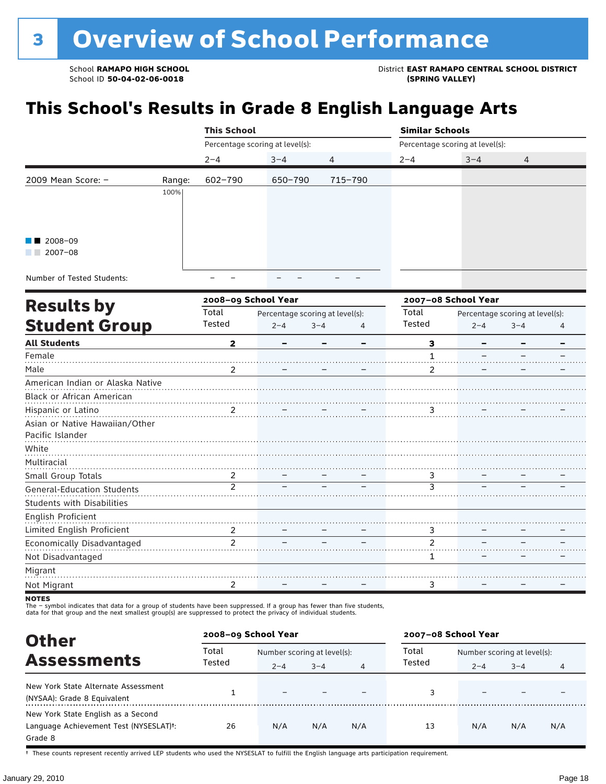## **This School's Results in Grade 8 English Language Arts**

|                           |        | <b>This School</b>              |              |         | <b>Similar Schools</b> |                                 |   |  |
|---------------------------|--------|---------------------------------|--------------|---------|------------------------|---------------------------------|---|--|
|                           |        | Percentage scoring at level(s): |              |         |                        | Percentage scoring at level(s): |   |  |
|                           |        | $2 - 4$                         | $3 - 4$<br>4 |         | $2 - 4$                | $3 - 4$                         | 4 |  |
| 2009 Mean Score: $-$      | Range: | 602-790                         | 650-790      | 715-790 |                        |                                 |   |  |
|                           | 100%   |                                 |              |         |                        |                                 |   |  |
|                           |        |                                 |              |         |                        |                                 |   |  |
|                           |        |                                 |              |         |                        |                                 |   |  |
| $\blacksquare$ 2008-09    |        |                                 |              |         |                        |                                 |   |  |
| 2007-08<br>a sa sa        |        |                                 |              |         |                        |                                 |   |  |
| Number of Tostad Ctudents |        |                                 |              |         |                        |                                 |   |  |

Number of Tested Students:

|                                   |                | 2008-09 School Year |                                 |   | 2007-08 School Year |         |                                 |   |
|-----------------------------------|----------------|---------------------|---------------------------------|---|---------------------|---------|---------------------------------|---|
| <b>Results by</b>                 | Total          |                     | Percentage scoring at level(s): |   | Total               |         | Percentage scoring at level(s): |   |
| <b>Student Group</b>              | Tested         | $2 - 4$             | $3 - 4$                         | 4 | Tested              | $2 - 4$ | $3 - 4$                         | 4 |
| <b>All Students</b>               | $\mathbf{2}$   |                     |                                 |   | 3                   |         |                                 |   |
| Female                            |                |                     |                                 |   |                     |         |                                 |   |
| Male                              | $\mathcal{P}$  |                     |                                 |   | 2                   |         |                                 |   |
| American Indian or Alaska Native  |                |                     |                                 |   |                     |         |                                 |   |
| <b>Black or African American</b>  |                |                     |                                 |   |                     |         |                                 |   |
| Hispanic or Latino                | 2              |                     |                                 |   | 3                   |         |                                 |   |
| Asian or Native Hawaiian/Other    |                |                     |                                 |   |                     |         |                                 |   |
| Pacific Islander                  |                |                     |                                 |   |                     |         |                                 |   |
| White                             |                |                     |                                 |   |                     |         |                                 |   |
| Multiracial                       |                |                     |                                 |   |                     |         |                                 |   |
| Small Group Totals                | 2              |                     |                                 |   | 3                   |         |                                 |   |
| General-Education Students        | $\overline{2}$ |                     |                                 |   | 3                   |         |                                 |   |
| <b>Students with Disabilities</b> |                |                     |                                 |   |                     |         |                                 |   |
| English Proficient                |                |                     |                                 |   |                     |         |                                 |   |
| Limited English Proficient        | 2              |                     |                                 |   | 3                   |         |                                 |   |
| Economically Disadvantaged        | $\overline{2}$ |                     |                                 |   | $\mathfrak{p}$      |         |                                 |   |
| Not Disadvantaged                 |                |                     |                                 |   | 1                   |         |                                 |   |
| Migrant                           |                |                     |                                 |   |                     |         |                                 |   |
| Not Migrant                       | 2              |                     |                                 |   | 3                   |         |                                 |   |

**NOTES** 

The – symbol indicates that data for a group of students have been suppressed. If a group has fewer than five students,<br>data for that group and the next smallest group(s) are suppressed to protect the privacy of individual

| <b>Other</b>                                                                                         |        | 2008-09 School Year         |         |     | 2007-08 School Year |                             |         |     |
|------------------------------------------------------------------------------------------------------|--------|-----------------------------|---------|-----|---------------------|-----------------------------|---------|-----|
|                                                                                                      | Total  | Number scoring at level(s): |         |     | Total               | Number scoring at level(s): |         |     |
| <b>Assessments</b>                                                                                   | Tested | $2 - 4$                     | $3 - 4$ | 4   | Tested              | $2 - 4$                     | $3 - 4$ | 4   |
| New York State Alternate Assessment<br>(NYSAA): Grade 8 Equivalent                                   |        | $\overline{\phantom{0}}$    |         |     | 3                   |                             |         |     |
| New York State English as a Second<br>Language Achievement Test (NYSESLAT) <sup>+</sup> :<br>Grade 8 | 26     | N/A                         | N/A     | N/A | 13                  | N/A                         | N/A     | N/A |

† These counts represent recently arrived LEP students who used the NYSESLAT to fulfill the English language arts participation requirement.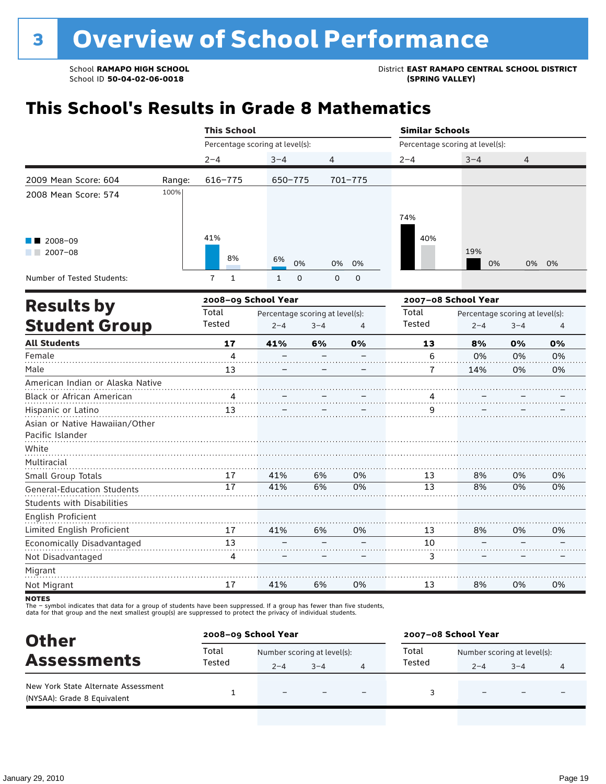## **This School's Results in Grade 8 Mathematics**

|                                   |        | <b>This School</b>             |                                 |             |                | <b>Similar Schools</b>          |                                 |         |                |
|-----------------------------------|--------|--------------------------------|---------------------------------|-------------|----------------|---------------------------------|---------------------------------|---------|----------------|
|                                   |        |                                | Percentage scoring at level(s): |             |                | Percentage scoring at level(s): |                                 |         |                |
|                                   |        | $2 - 4$                        | $3 - 4$                         | 4           |                | $2 - 4$                         | $3 - 4$                         | 4       |                |
| 2009 Mean Score: 604              | Range: | 616-775                        | 650-775                         |             | $701 - 775$    |                                 |                                 |         |                |
| 2008 Mean Score: 574              | 100%   |                                |                                 |             |                |                                 |                                 |         |                |
|                                   |        |                                |                                 |             |                | 74%                             |                                 |         |                |
| $2008 - 09$                       |        | 41%                            |                                 |             |                | 40%                             |                                 |         |                |
| $2007 - 08$                       |        | 8%                             | 6%<br>0%                        | 0%          | 0%             |                                 | 19%<br>0%                       | 0%      | 0%             |
| Number of Tested Students:        |        | $\overline{7}$<br>$\mathbf{1}$ | $\mathbf 0$<br>$\mathbf{1}$     | $\mathbf 0$ | $\mathbf 0$    |                                 |                                 |         |                |
|                                   |        | 2008-09 School Year            |                                 |             |                |                                 | 2007-08 School Year             |         |                |
| <b>Results by</b>                 |        | Total                          | Percentage scoring at level(s): |             |                | Total                           | Percentage scoring at level(s): |         |                |
| <b>Student Group</b>              |        | Tested                         | $2 - 4$                         | $3 - 4$     | $\overline{4}$ | Tested                          | $2 - 4$                         | $3 - 4$ | $\overline{4}$ |
| <b>All Students</b>               |        | 17                             | 41%                             | 6%          | 0%             | 13                              | 8%                              | 0%      | 0%             |
| Female                            |        | 4                              |                                 |             |                | 6                               | 0%                              | 0%      | 0%             |
| Male                              |        | 13                             |                                 |             |                | 7                               | 14%                             | 0%      | 0%             |
| American Indian or Alaska Native  |        |                                |                                 |             |                |                                 |                                 |         |                |
| Black or African American         |        | $\frac{4}{\cdot \cdot \cdot}$  |                                 |             |                | 4                               |                                 |         |                |
| Hispanic or Latino                |        | 13                             |                                 |             |                | 9                               |                                 |         |                |
| Asian or Native Hawaiian/Other    |        |                                |                                 |             |                |                                 |                                 |         |                |
| Pacific Islander                  |        |                                |                                 |             |                |                                 |                                 |         |                |
| White                             |        |                                |                                 |             |                |                                 |                                 |         |                |
| Multiracial                       |        |                                |                                 |             |                |                                 |                                 |         |                |
| Small Group Totals                |        | 17                             | 41%                             | 6%          | 0%             | 13                              | 8%                              | 0%      | 0%             |
| <b>General-Education Students</b> |        | 17                             | 41%                             | 6%          | 0%             | 13                              | 8%                              | 0%      | 0%             |
| <b>Students with Disabilities</b> |        |                                |                                 |             |                |                                 |                                 |         |                |
| English Proficient                |        |                                |                                 |             |                |                                 |                                 |         |                |
| Limited English Proficient        |        | 17                             | 41%                             | 6%          | 0%             | 13                              | 8%                              | 0%      | 0%             |
| Economically Disadvantaged        |        | 13                             |                                 |             |                | 10                              |                                 |         |                |
| Not Disadvantaged                 |        | 4                              |                                 |             |                | 3                               |                                 |         |                |
| Migrant                           |        |                                |                                 |             |                |                                 |                                 |         |                |
| Not Migrant                       |        | 17                             | 41%                             | 6%          | 0%             | 13                              | 8%                              | 0%      | 0%             |

**NOTES** 

The – symbol indicates that data for a group of students have been suppressed. If a group has fewer than five students,<br>data for that group and the next smallest group(s) are suppressed to protect the privacy of individual

| <b>Other</b>                                                       | 2008-09 School Year |                             |         |   | 2007-08 School Year |                             |                          |   |  |
|--------------------------------------------------------------------|---------------------|-----------------------------|---------|---|---------------------|-----------------------------|--------------------------|---|--|
| <b>Assessments</b>                                                 | Total               | Number scoring at level(s): |         |   | Total               | Number scoring at level(s): |                          |   |  |
|                                                                    | Tested              | $2 - 4$                     | $3 - 4$ |   | Tested              | $3 - 4$<br>$2 - 4$          |                          | 4 |  |
| New York State Alternate Assessment<br>(NYSAA): Grade 8 Equivalent |                     |                             |         | - |                     |                             | $\overline{\phantom{0}}$ |   |  |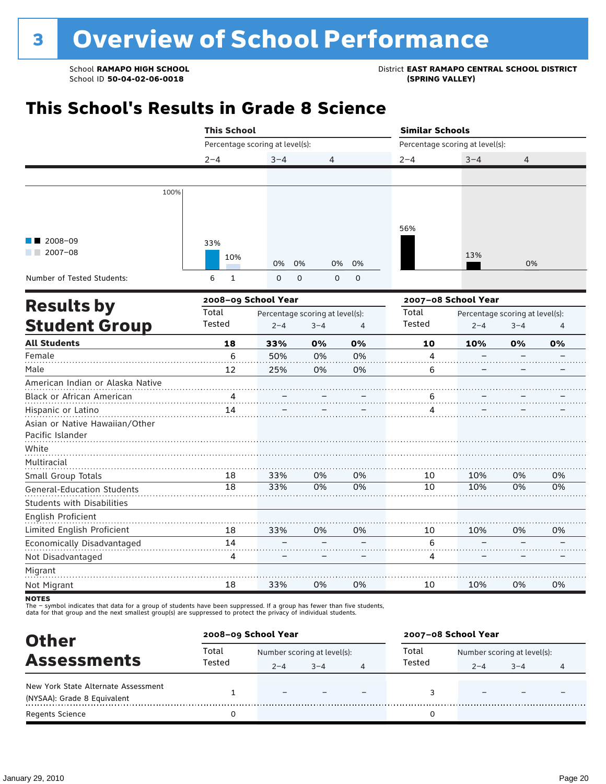## **This School's Results in Grade 8 Science**

|                                                    | <b>This School</b>              |                                            |         |                | <b>Similar Schools</b>          |                                            |         |    |
|----------------------------------------------------|---------------------------------|--------------------------------------------|---------|----------------|---------------------------------|--------------------------------------------|---------|----|
|                                                    | Percentage scoring at level(s): |                                            |         |                | Percentage scoring at level(s): |                                            |         |    |
|                                                    | $2 - 4$                         | $3 - 4$                                    | 4       |                | $2 - 4$                         | $3 - 4$                                    | 4       |    |
|                                                    |                                 |                                            |         |                |                                 |                                            |         |    |
| 100%                                               |                                 |                                            |         |                |                                 |                                            |         |    |
| $2008 - 09$<br>$2007 - 08$                         | 33%<br>10%                      | 0%<br>0%                                   | 0%      | 0%             | 56%                             | 13%                                        | 0%      |    |
| Number of Tested Students:                         | 6<br>$\mathbf{1}$               | 0                                          | 0<br>0  | $\mathbf 0$    |                                 |                                            |         |    |
| <b>Results by</b>                                  | 2008-09 School Year             |                                            |         |                |                                 | 2007-08 School Year                        |         |    |
| <b>Student Group</b>                               | Total<br>Tested                 | Percentage scoring at level(s):<br>$2 - 4$ | $3 - 4$ | $\overline{4}$ | Total<br>Tested                 | Percentage scoring at level(s):<br>$2 - 4$ | $3 - 4$ | 4  |
| <b>All Students</b>                                | 18                              | 33%                                        | 0%      | 0%             | 10                              | 10%                                        | 0%      | 0% |
| Female                                             | 6                               | 50%                                        | 0%      | 0%             | 4                               |                                            |         |    |
| Male                                               | 12                              | 25%                                        | 0%      | 0%             | 6                               |                                            |         |    |
| American Indian or Alaska Native                   |                                 |                                            |         |                |                                 |                                            |         |    |
| Black or African American                          | 4                               |                                            |         |                | 6                               |                                            |         |    |
| Hispanic or Latino                                 | 14                              |                                            |         |                | 4                               |                                            |         |    |
| Asian or Native Hawaiian/Other<br>Pacific Islander |                                 |                                            |         |                |                                 |                                            |         |    |
| White                                              |                                 |                                            |         |                |                                 |                                            |         |    |
| Multiracial                                        |                                 |                                            |         |                |                                 |                                            |         |    |
| Small Group Totals                                 | 18                              | 33%                                        | 0%      | 0%             | 10                              | 10%                                        | 0%      | 0% |
| <b>General-Education Students</b>                  | 18                              | 33%                                        | 0%      | 0%             | 10                              | 10%                                        | 0%      | 0% |
| <b>Students with Disabilities</b>                  |                                 |                                            |         |                |                                 |                                            |         |    |
| English Proficient                                 |                                 |                                            |         |                |                                 |                                            |         |    |
| Limited English Proficient                         | 18                              | 33%                                        | 0%      | 0%             | 10                              | 10%                                        | 0%      | 0% |
| Economically Disadvantaged                         | 14                              |                                            |         |                | 6                               |                                            |         |    |
| Not Disadvantaged                                  | 4                               |                                            |         |                | 4                               |                                            |         |    |
| Migrant                                            |                                 |                                            |         |                |                                 |                                            |         |    |
| Not Migrant                                        | 18                              | 33%                                        | 0%      | 0%             | 10                              | 10%                                        | 0%      | 0% |

**NOTES** 

The – symbol indicates that data for a group of students have been suppressed. If a group has fewer than five students,<br>data for that group and the next smallest group(s) are suppressed to protect the privacy of individual

| <b>Other</b>                                                       | 2008-09 School Year |                             |         |                | 2007-08 School Year |         |                             |   |
|--------------------------------------------------------------------|---------------------|-----------------------------|---------|----------------|---------------------|---------|-----------------------------|---|
| <b>Assessments</b>                                                 | Total               | Number scoring at level(s): |         |                | Total               |         | Number scoring at level(s): |   |
|                                                                    | Tested              | $2 - 4$                     | $3 - 4$ | $\overline{4}$ | Tested              | $2 - 4$ | $3 - 4$                     | 4 |
| New York State Alternate Assessment<br>(NYSAA): Grade 8 Equivalent |                     |                             |         |                |                     |         |                             |   |
| Regents Science                                                    |                     |                             |         |                |                     |         |                             |   |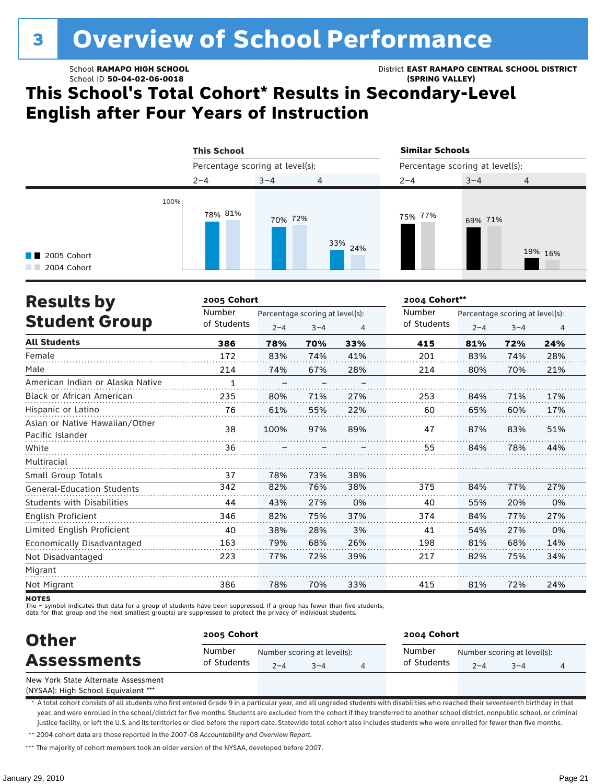# **3 Overview of School Performance**

School ID **50-04-02-06-0018 (SPRING VALLEY)**

School **RAMAPO HIGH SCHOOL** District **EAST RAMAPO CENTRAL SCHOOL DISTRICT**

## **This School's Total Cohort\* Results in Secondary-Level English after Four Years of Instruction**

|                                     | <b>This School</b>              |         |                | <b>Similar Schools</b>          |         |                |  |
|-------------------------------------|---------------------------------|---------|----------------|---------------------------------|---------|----------------|--|
|                                     | Percentage scoring at level(s): |         |                | Percentage scoring at level(s): |         |                |  |
|                                     | $2 - 4$                         | $3 - 4$ | $\overline{4}$ | $2 - 4$                         | $3 - 4$ | $\overline{4}$ |  |
| <b>1</b> 2005 Cohort<br>2004 Cohort | 100%<br>78% 81%                 | 70% 72% | 33%<br>24%     | 75% 77%                         | 69% 71% | 19% 16%        |  |

| <b>Results by</b>                                  | 2005 Cohort |         |                                 |     | 2004 Cohort** |         |                                 |     |
|----------------------------------------------------|-------------|---------|---------------------------------|-----|---------------|---------|---------------------------------|-----|
|                                                    | Number      |         | Percentage scoring at level(s): |     | Number        |         | Percentage scoring at level(s): |     |
| <b>Student Group</b>                               | of Students | $2 - 4$ | $3 - 4$                         | 4   | of Students   | $2 - 4$ | $3 - 4$                         | 4   |
| <b>All Students</b>                                | 386         | 78%     | 70%                             | 33% | 415           | 81%     | 72%                             | 24% |
| Female                                             | 172         | 83%     | 74%                             | 41% | 201           | 83%     | 74%                             | 28% |
| Male                                               | 214         | 74%     | 67%                             | 28% | 214           | 80%     | 70%                             | 21% |
| American Indian or Alaska Native                   | 1           |         |                                 |     |               |         |                                 |     |
| Black or African American                          | 235         | 80%     | 71%                             | 27% | 253           | 84%     | 71%                             | 17% |
| Hispanic or Latino                                 | 76          | 61%     | 55%                             | 22% | 60            | 65%     | 60%                             | 17% |
| Asian or Native Hawaiian/Other<br>Pacific Islander | 38          | 100%    | 97%                             | 89% | 47            | 87%     | 83%                             | 51% |
| White                                              | 36          |         |                                 |     | 55            | 84%     | 78%                             | 44% |
| Multiracial                                        |             |         |                                 |     |               |         |                                 |     |
| Small Group Totals                                 | 37          | 78%     | 73%                             | 38% |               |         |                                 |     |
| <b>General-Education Students</b>                  | 342         | 82%     | 76%                             | 38% | 375           | 84%     | 77%                             | 27% |
| <b>Students with Disabilities</b>                  | 44          | 43%     | 27%                             | 0%  | 40            | 55%     | 20%                             | 0%  |
| English Proficient                                 | 346         | 82%     | 75%                             | 37% | 374           | 84%     | 77%                             | 27% |
| Limited English Proficient                         | 40          | 38%     | 28%                             | 3%  | 41            | 54%     | 27%                             | 0%  |
| Economically Disadvantaged                         | 163         | 79%     | 68%                             | 26% | 198           | 81%     | 68%                             | 14% |
| Not Disadvantaged                                  | 223         | 77%     | 72%                             | 39% | 217           | 82%     | 75%                             | 34% |
| Migrant                                            |             |         |                                 |     |               |         |                                 |     |
| Not Migrant                                        | 386         | 78%     | 70%                             | 33% | 415           | 81%     | 72%                             | 24% |

**NOTES** 

The – symbol indicates that data for a group of students have been suppressed. If a group has fewer than five students,

data for that group and the next smallest group(s) are suppressed to protect the privacy of individual students.

| <b>Other</b>                        |                       | 2005 Cohort |                                        |  |                       | 2004 Cohort |                                        |  |  |  |
|-------------------------------------|-----------------------|-------------|----------------------------------------|--|-----------------------|-------------|----------------------------------------|--|--|--|
| <b>Assessments</b>                  | Number<br>of Students | $2 - 4$     | Number scoring at level(s):<br>$3 - 4$ |  | Number<br>of Students | $2 - 4$     | Number scoring at level(s):<br>$3 - 4$ |  |  |  |
| New York State Alternate Assessment |                       |             |                                        |  |                       |             |                                        |  |  |  |

(NYSAA): High School Equivalent \*\*\*

\* A total cohort consists of all students who first entered Grade 9 in a particular year, and all ungraded students with disabilities who reached their seventeenth birthday in that year, and were enrolled in the school/district for five months. Students are excluded from the cohort if they transferred to another school district, nonpublic school, or criminal justice facility, or left the U.S. and its territories or died before the report date. Statewide total cohort also includes students who were enrolled for fewer than five months. \*\* 2004 cohort data are those reported in the 2007-08 *Accountability and Overview Report*.

\*\*\* The majority of cohort members took an older version of the NYSAA, developed before 2007.